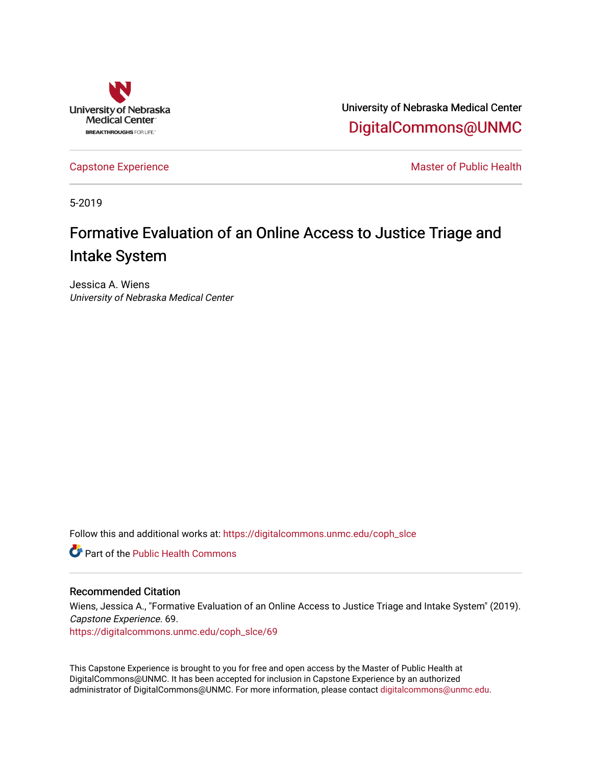

University of Nebraska Medical Center [DigitalCommons@UNMC](https://digitalcommons.unmc.edu/) 

[Capstone Experience](https://digitalcommons.unmc.edu/coph_slce) Master of Public Health

5-2019

# Formative Evaluation of an Online Access to Justice Triage and Intake System

Jessica A. Wiens University of Nebraska Medical Center

Follow this and additional works at: [https://digitalcommons.unmc.edu/coph\\_slce](https://digitalcommons.unmc.edu/coph_slce?utm_source=digitalcommons.unmc.edu%2Fcoph_slce%2F69&utm_medium=PDF&utm_campaign=PDFCoverPages) 

**C** Part of the Public Health Commons

#### Recommended Citation

Wiens, Jessica A., "Formative Evaluation of an Online Access to Justice Triage and Intake System" (2019). Capstone Experience. 69.

[https://digitalcommons.unmc.edu/coph\\_slce/69](https://digitalcommons.unmc.edu/coph_slce/69?utm_source=digitalcommons.unmc.edu%2Fcoph_slce%2F69&utm_medium=PDF&utm_campaign=PDFCoverPages)

This Capstone Experience is brought to you for free and open access by the Master of Public Health at DigitalCommons@UNMC. It has been accepted for inclusion in Capstone Experience by an authorized administrator of DigitalCommons@UNMC. For more information, please contact [digitalcommons@unmc.edu](mailto:digitalcommons@unmc.edu).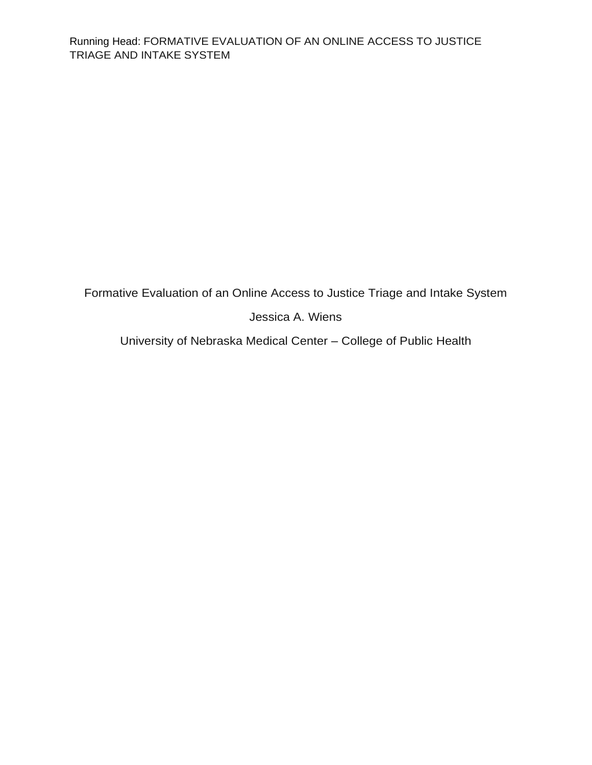Formative Evaluation of an Online Access to Justice Triage and Intake System

Jessica A. Wiens

University of Nebraska Medical Center – College of Public Health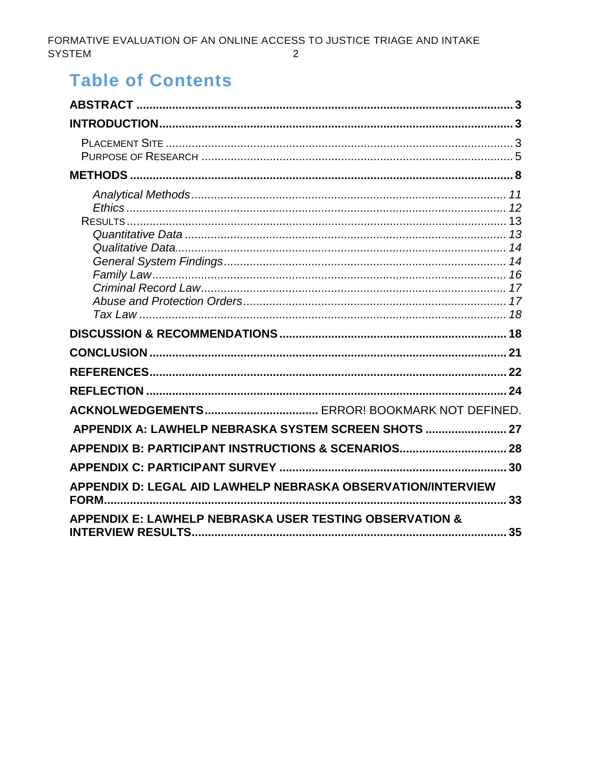# **Table of Contents**

| APPENDIX A: LAWHELP NEBRASKA SYSTEM SCREEN SHOTS  27                  |    |
|-----------------------------------------------------------------------|----|
| APPENDIX B: PARTICIPANT INSTRUCTIONS & SCENARIOS 28                   |    |
|                                                                       | 30 |
| APPENDIX D: LEGAL AID LAWHELP NEBRASKA OBSERVATION/INTERVIEW<br>FORM. | 33 |
| <b>APPENDIX E: LAWHELP NEBRASKA USER TESTING OBSERVATION &amp;</b>    | 35 |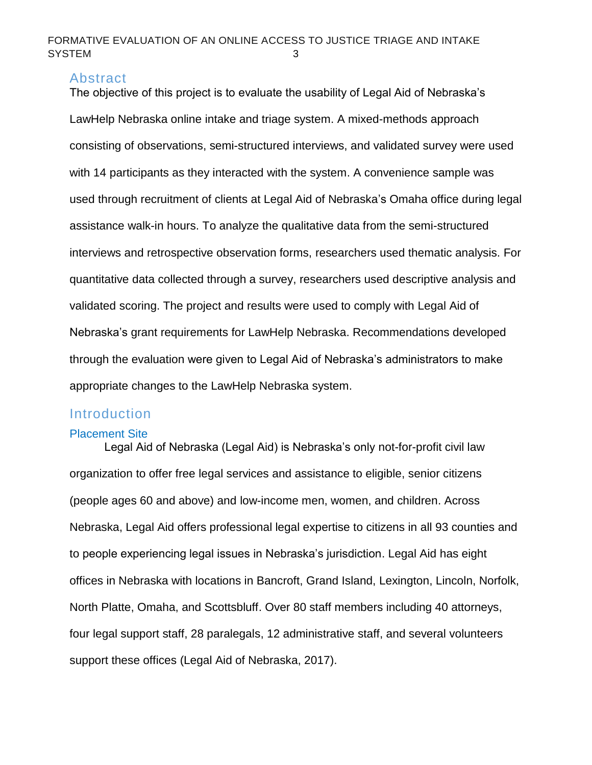#### <span id="page-3-0"></span>Abstract

The objective of this project is to evaluate the usability of Legal Aid of Nebraska's LawHelp Nebraska online intake and triage system. A mixed-methods approach consisting of observations, semi-structured interviews, and validated survey were used with 14 participants as they interacted with the system. A convenience sample was used through recruitment of clients at Legal Aid of Nebraska's Omaha office during legal assistance walk-in hours. To analyze the qualitative data from the semi-structured interviews and retrospective observation forms, researchers used thematic analysis. For quantitative data collected through a survey, researchers used descriptive analysis and validated scoring. The project and results were used to comply with Legal Aid of Nebraska's grant requirements for LawHelp Nebraska. Recommendations developed through the evaluation were given to Legal Aid of Nebraska's administrators to make appropriate changes to the LawHelp Nebraska system.

# <span id="page-3-1"></span>**Introduction**

#### <span id="page-3-2"></span>Placement Site

Legal Aid of Nebraska (Legal Aid) is Nebraska's only not-for-profit civil law organization to offer free legal services and assistance to eligible, senior citizens (people ages 60 and above) and low-income men, women, and children. Across Nebraska, Legal Aid offers professional legal expertise to citizens in all 93 counties and to people experiencing legal issues in Nebraska's jurisdiction. Legal Aid has eight offices in Nebraska with locations in Bancroft, Grand Island, Lexington, Lincoln, Norfolk, North Platte, Omaha, and Scottsbluff. Over 80 staff members including 40 attorneys, four legal support staff, 28 paralegals, 12 administrative staff, and several volunteers support these offices (Legal Aid of Nebraska, 2017).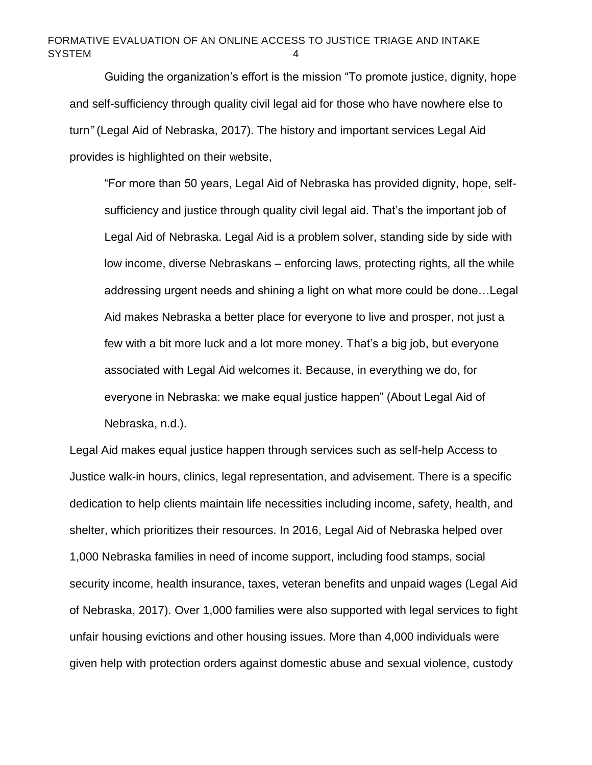Guiding the organization's effort is the mission "To promote justice, dignity, hope and self-sufficiency through quality civil legal aid for those who have nowhere else to turn*"* (Legal Aid of Nebraska, 2017). The history and important services Legal Aid provides is highlighted on their website,

"For more than 50 years, Legal Aid of Nebraska has provided dignity, hope, selfsufficiency and justice through quality civil legal aid. That's the important job of Legal Aid of Nebraska. Legal Aid is a problem solver, standing side by side with low income, diverse Nebraskans – enforcing laws, protecting rights, all the while addressing urgent needs and shining a light on what more could be done…Legal Aid makes Nebraska a better place for everyone to live and prosper, not just a few with a bit more luck and a lot more money. That's a big job, but everyone associated with Legal Aid welcomes it. Because, in everything we do, for everyone in Nebraska: we make equal justice happen" (About Legal Aid of Nebraska, n.d.).

Legal Aid makes equal justice happen through services such as self-help Access to Justice walk-in hours, clinics, legal representation, and advisement. There is a specific dedication to help clients maintain life necessities including income, safety, health, and shelter, which prioritizes their resources. In 2016, Legal Aid of Nebraska helped over 1,000 Nebraska families in need of income support, including food stamps, social security income, health insurance, taxes, veteran benefits and unpaid wages (Legal Aid of Nebraska, 2017). Over 1,000 families were also supported with legal services to fight unfair housing evictions and other housing issues. More than 4,000 individuals were given help with protection orders against domestic abuse and sexual violence, custody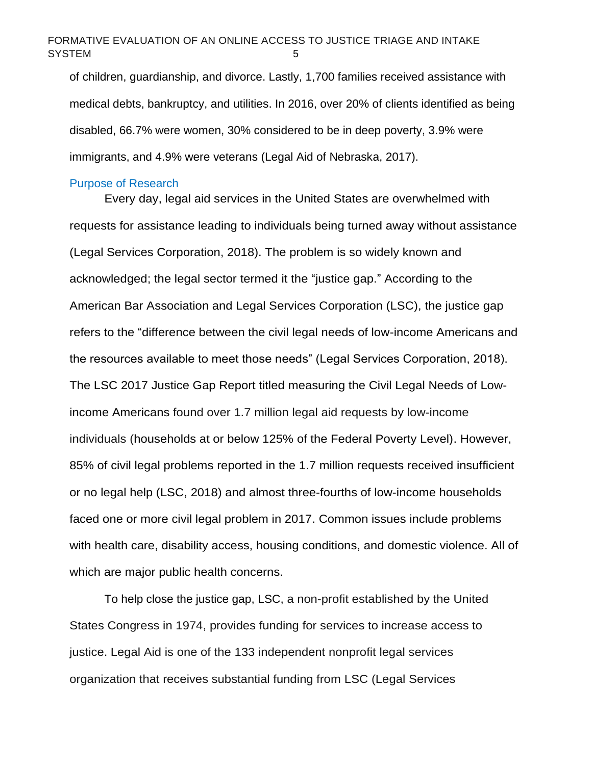of children, guardianship, and divorce. Lastly, 1,700 families received assistance with medical debts, bankruptcy, and utilities. In 2016, over 20% of clients identified as being disabled, 66.7% were women, 30% considered to be in deep poverty, 3.9% were immigrants, and 4.9% were veterans (Legal Aid of Nebraska, 2017).

#### <span id="page-5-0"></span>Purpose of Research

Every day, legal aid services in the United States are overwhelmed with requests for assistance leading to individuals being turned away without assistance (Legal Services Corporation, 2018). The problem is so widely known and acknowledged; the legal sector termed it the "justice gap." According to the American Bar Association and Legal Services Corporation (LSC), the justice gap refers to the "difference between the civil legal needs of low-income Americans and the resources available to meet those needs" (Legal Services Corporation, 2018). The LSC 2017 Justice Gap Report titled measuring the Civil Legal Needs of Lowincome Americans found over 1.7 million legal aid requests by low-income individuals (households at or below 125% of the Federal Poverty Level). However, 85% of civil legal problems reported in the 1.7 million requests received insufficient or no legal help (LSC, 2018) and almost three-fourths of low-income households faced one or more civil legal problem in 2017. Common issues include problems with health care, disability access, housing conditions, and domestic violence. All of which are major public health concerns.

To help close the justice gap, LSC, a non-profit established by the United States Congress in 1974, provides funding for services to increase access to justice. Legal Aid is one of the 133 independent nonprofit legal services organization that receives substantial funding from LSC (Legal Services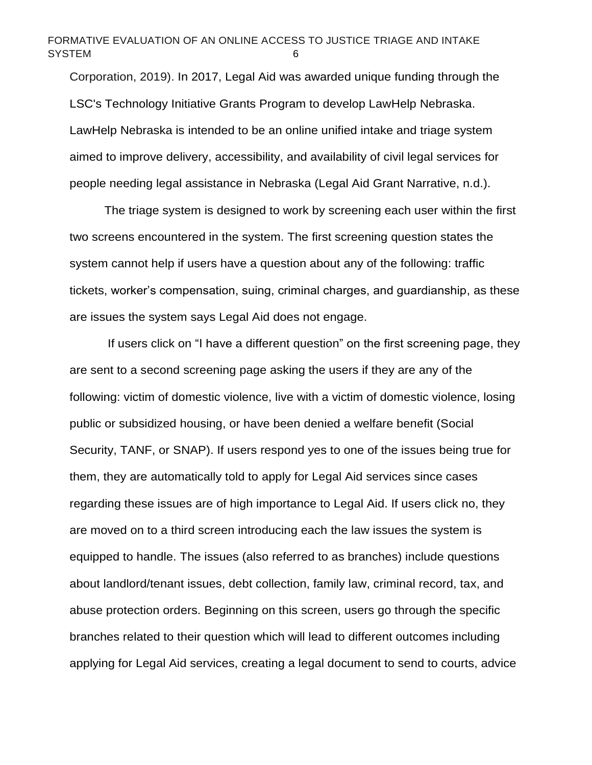Corporation, 2019). In 2017, Legal Aid was awarded unique funding through the LSC's Technology Initiative Grants Program to develop LawHelp Nebraska. LawHelp Nebraska is intended to be an online unified intake and triage system aimed to improve delivery, accessibility, and availability of civil legal services for people needing legal assistance in Nebraska (Legal Aid Grant Narrative, n.d.).

The triage system is designed to work by screening each user within the first two screens encountered in the system. The first screening question states the system cannot help if users have a question about any of the following: traffic tickets, worker's compensation, suing, criminal charges, and guardianship, as these are issues the system says Legal Aid does not engage.

If users click on "I have a different question" on the first screening page, they are sent to a second screening page asking the users if they are any of the following: victim of domestic violence, live with a victim of domestic violence, losing public or subsidized housing, or have been denied a welfare benefit (Social Security, TANF, or SNAP). If users respond yes to one of the issues being true for them, they are automatically told to apply for Legal Aid services since cases regarding these issues are of high importance to Legal Aid. If users click no, they are moved on to a third screen introducing each the law issues the system is equipped to handle. The issues (also referred to as branches) include questions about landlord/tenant issues, debt collection, family law, criminal record, tax, and abuse protection orders. Beginning on this screen, users go through the specific branches related to their question which will lead to different outcomes including applying for Legal Aid services, creating a legal document to send to courts, advice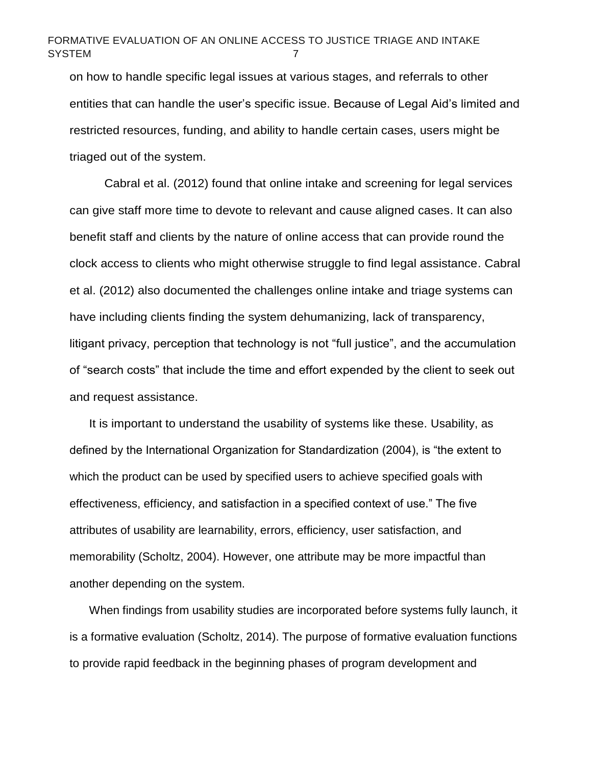on how to handle specific legal issues at various stages, and referrals to other entities that can handle the user's specific issue. Because of Legal Aid's limited and restricted resources, funding, and ability to handle certain cases, users might be triaged out of the system.

Cabral et al. (2012) found that online intake and screening for legal services can give staff more time to devote to relevant and cause aligned cases. It can also benefit staff and clients by the nature of online access that can provide round the clock access to clients who might otherwise struggle to find legal assistance. Cabral et al. (2012) also documented the challenges online intake and triage systems can have including clients finding the system dehumanizing, lack of transparency, litigant privacy, perception that technology is not "full justice", and the accumulation of "search costs" that include the time and effort expended by the client to seek out and request assistance.

It is important to understand the usability of systems like these. Usability, as defined by the International Organization for Standardization (2004), is "the extent to which the product can be used by specified users to achieve specified goals with effectiveness, efficiency, and satisfaction in a specified context of use." The five attributes of usability are learnability, errors, efficiency, user satisfaction, and memorability (Scholtz, 2004). However, one attribute may be more impactful than another depending on the system.

When findings from usability studies are incorporated before systems fully launch, it is a formative evaluation (Scholtz, 2014). The purpose of formative evaluation functions to provide rapid feedback in the beginning phases of program development and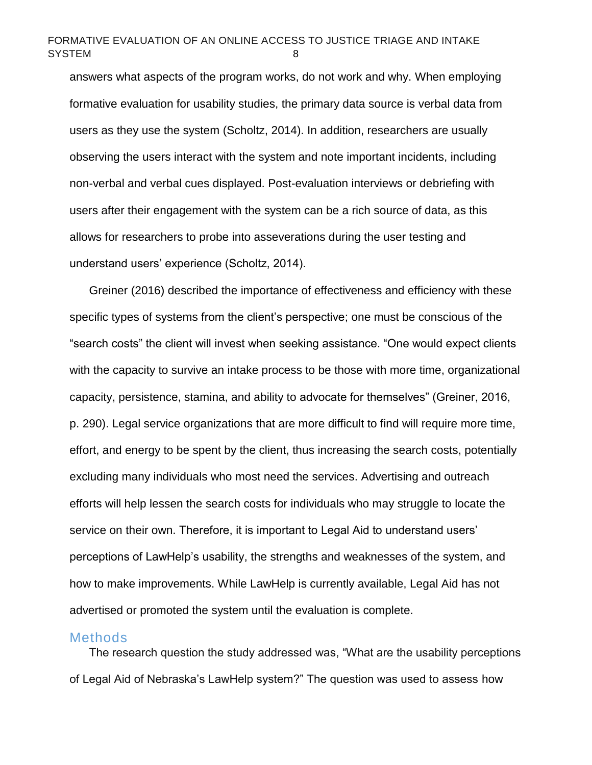answers what aspects of the program works, do not work and why. When employing formative evaluation for usability studies, the primary data source is verbal data from users as they use the system (Scholtz, 2014). In addition, researchers are usually observing the users interact with the system and note important incidents, including non-verbal and verbal cues displayed. Post-evaluation interviews or debriefing with users after their engagement with the system can be a rich source of data, as this allows for researchers to probe into asseverations during the user testing and understand users' experience (Scholtz, 2014).

Greiner (2016) described the importance of effectiveness and efficiency with these specific types of systems from the client's perspective; one must be conscious of the "search costs" the client will invest when seeking assistance. "One would expect clients with the capacity to survive an intake process to be those with more time, organizational capacity, persistence, stamina, and ability to advocate for themselves" (Greiner, 2016, p. 290). Legal service organizations that are more difficult to find will require more time, effort, and energy to be spent by the client, thus increasing the search costs, potentially excluding many individuals who most need the services. Advertising and outreach efforts will help lessen the search costs for individuals who may struggle to locate the service on their own. Therefore, it is important to Legal Aid to understand users' perceptions of LawHelp's usability, the strengths and weaknesses of the system, and how to make improvements. While LawHelp is currently available, Legal Aid has not advertised or promoted the system until the evaluation is complete.

#### <span id="page-8-0"></span>**Methods**

The research question the study addressed was, "What are the usability perceptions of Legal Aid of Nebraska's LawHelp system?" The question was used to assess how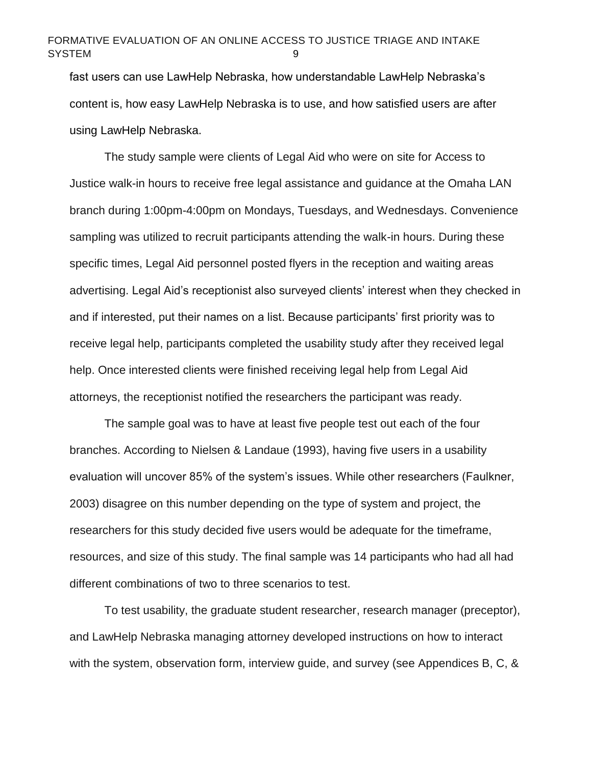fast users can use LawHelp Nebraska, how understandable LawHelp Nebraska's content is, how easy LawHelp Nebraska is to use, and how satisfied users are after using LawHelp Nebraska.

The study sample were clients of Legal Aid who were on site for Access to Justice walk-in hours to receive free legal assistance and guidance at the Omaha LAN branch during 1:00pm-4:00pm on Mondays, Tuesdays, and Wednesdays. Convenience sampling was utilized to recruit participants attending the walk-in hours. During these specific times, Legal Aid personnel posted flyers in the reception and waiting areas advertising. Legal Aid's receptionist also surveyed clients' interest when they checked in and if interested, put their names on a list. Because participants' first priority was to receive legal help, participants completed the usability study after they received legal help. Once interested clients were finished receiving legal help from Legal Aid attorneys, the receptionist notified the researchers the participant was ready.

The sample goal was to have at least five people test out each of the four branches. According to Nielsen & Landaue (1993), having five users in a usability evaluation will uncover 85% of the system's issues. While other researchers (Faulkner, 2003) disagree on this number depending on the type of system and project, the researchers for this study decided five users would be adequate for the timeframe, resources, and size of this study. The final sample was 14 participants who had all had different combinations of two to three scenarios to test.

To test usability, the graduate student researcher, research manager (preceptor), and LawHelp Nebraska managing attorney developed instructions on how to interact with the system, observation form, interview guide, and survey (see Appendices B, C, &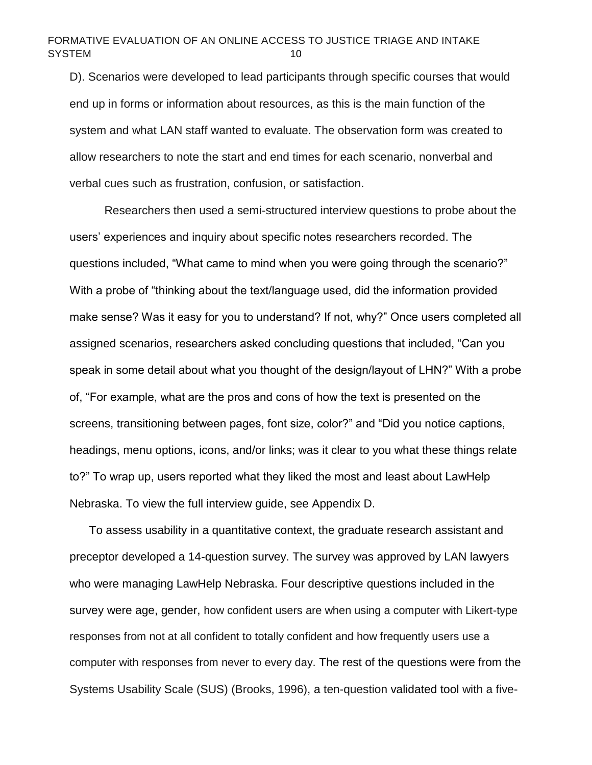D). Scenarios were developed to lead participants through specific courses that would end up in forms or information about resources, as this is the main function of the system and what LAN staff wanted to evaluate. The observation form was created to allow researchers to note the start and end times for each scenario, nonverbal and verbal cues such as frustration, confusion, or satisfaction.

Researchers then used a semi-structured interview questions to probe about the users' experiences and inquiry about specific notes researchers recorded. The questions included, "What came to mind when you were going through the scenario?" With a probe of "thinking about the text/language used, did the information provided make sense? Was it easy for you to understand? If not, why?" Once users completed all assigned scenarios, researchers asked concluding questions that included, "Can you speak in some detail about what you thought of the design/layout of LHN?" With a probe of, "For example, what are the pros and cons of how the text is presented on the screens, transitioning between pages, font size, color?" and "Did you notice captions, headings, menu options, icons, and/or links; was it clear to you what these things relate to?" To wrap up, users reported what they liked the most and least about LawHelp Nebraska. To view the full interview guide, see Appendix D.

To assess usability in a quantitative context, the graduate research assistant and preceptor developed a 14-question survey. The survey was approved by LAN lawyers who were managing LawHelp Nebraska. Four descriptive questions included in the survey were age, gender, how confident users are when using a computer with Likert-type responses from not at all confident to totally confident and how frequently users use a computer with responses from never to every day. The rest of the questions were from the Systems Usability Scale (SUS) (Brooks, 1996), a ten-question validated tool with a five-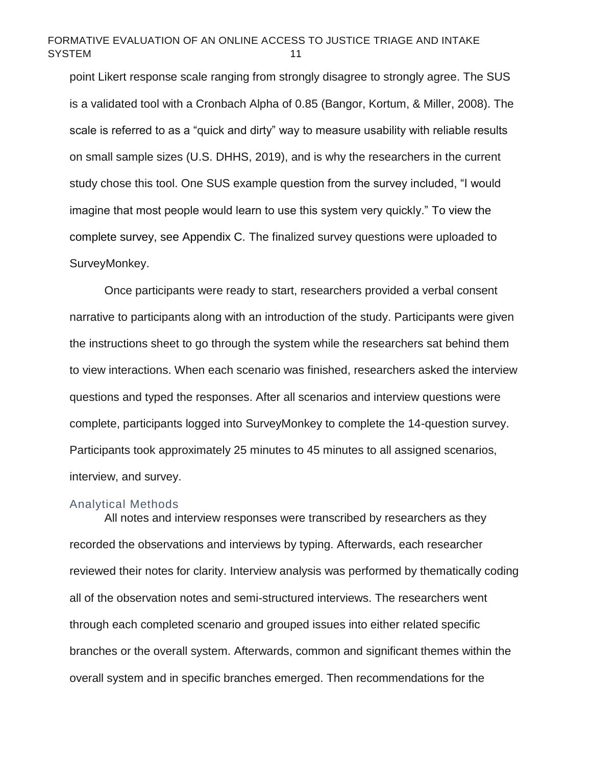point Likert response scale ranging from strongly disagree to strongly agree. The SUS is a validated tool with a Cronbach Alpha of 0.85 (Bangor, Kortum, & Miller, 2008). The scale is referred to as a "quick and dirty" way to measure usability with reliable results on small sample sizes (U.S. DHHS, 2019), and is why the researchers in the current study chose this tool. One SUS example question from the survey included, "I would imagine that most people would learn to use this system very quickly." To view the complete survey, see Appendix C. The finalized survey questions were uploaded to SurveyMonkey.

Once participants were ready to start, researchers provided a verbal consent narrative to participants along with an introduction of the study. Participants were given the instructions sheet to go through the system while the researchers sat behind them to view interactions. When each scenario was finished, researchers asked the interview questions and typed the responses. After all scenarios and interview questions were complete, participants logged into SurveyMonkey to complete the 14-question survey. Participants took approximately 25 minutes to 45 minutes to all assigned scenarios, interview, and survey.

#### <span id="page-11-0"></span>Analytical Methods

All notes and interview responses were transcribed by researchers as they recorded the observations and interviews by typing. Afterwards, each researcher reviewed their notes for clarity. Interview analysis was performed by thematically coding all of the observation notes and semi-structured interviews. The researchers went through each completed scenario and grouped issues into either related specific branches or the overall system. Afterwards, common and significant themes within the overall system and in specific branches emerged. Then recommendations for the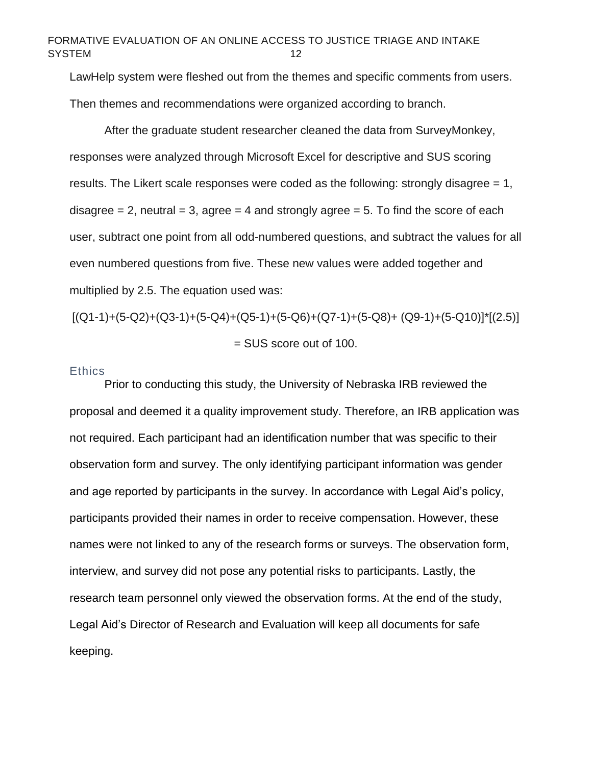LawHelp system were fleshed out from the themes and specific comments from users.

Then themes and recommendations were organized according to branch.

After the graduate student researcher cleaned the data from SurveyMonkey, responses were analyzed through Microsoft Excel for descriptive and SUS scoring results. The Likert scale responses were coded as the following: strongly disagree  $= 1$ , disagree  $= 2$ , neutral  $= 3$ , agree  $= 4$  and strongly agree  $= 5$ . To find the score of each user, subtract one point from all odd-numbered questions, and subtract the values for all even numbered questions from five. These new values were added together and multiplied by 2.5. The equation used was:

 $[(Q1-1)+(5-Q2)+(Q3-1)+(5-Q4)+(Q5-1)+(5-Q6)+(Q7-1)+(5-Q8)+(Q9-1)+(5-Q10)]$ <sup>\*</sup> $[(2.5)]$ = SUS score out of 100.

#### <span id="page-12-0"></span>**Ethics**

Prior to conducting this study, the University of Nebraska IRB reviewed the proposal and deemed it a quality improvement study. Therefore, an IRB application was not required. Each participant had an identification number that was specific to their observation form and survey. The only identifying participant information was gender and age reported by participants in the survey. In accordance with Legal Aid's policy, participants provided their names in order to receive compensation. However, these names were not linked to any of the research forms or surveys. The observation form, interview, and survey did not pose any potential risks to participants. Lastly, the research team personnel only viewed the observation forms. At the end of the study, Legal Aid's Director of Research and Evaluation will keep all documents for safe keeping.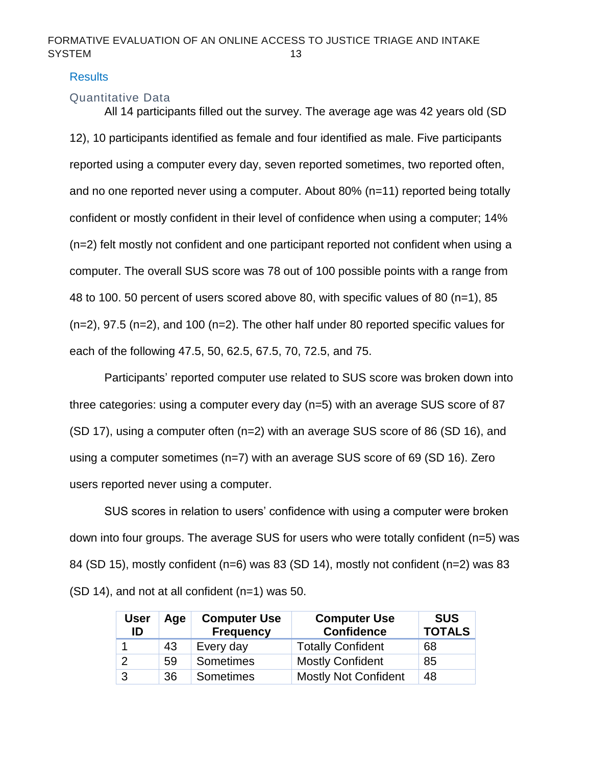#### <span id="page-13-0"></span>**Results**

# <span id="page-13-1"></span>Quantitative Data

All 14 participants filled out the survey. The average age was 42 years old (SD 12), 10 participants identified as female and four identified as male. Five participants reported using a computer every day, seven reported sometimes, two reported often, and no one reported never using a computer. About 80% (n=11) reported being totally confident or mostly confident in their level of confidence when using a computer; 14% (n=2) felt mostly not confident and one participant reported not confident when using a computer. The overall SUS score was 78 out of 100 possible points with a range from 48 to 100. 50 percent of users scored above 80, with specific values of 80 (n=1), 85 (n=2), 97.5 (n=2), and 100 (n=2). The other half under 80 reported specific values for each of the following 47.5, 50, 62.5, 67.5, 70, 72.5, and 75.

Participants' reported computer use related to SUS score was broken down into three categories: using a computer every day (n=5) with an average SUS score of 87 (SD 17), using a computer often (n=2) with an average SUS score of 86 (SD 16), and using a computer sometimes (n=7) with an average SUS score of 69 (SD 16). Zero users reported never using a computer.

SUS scores in relation to users' confidence with using a computer were broken down into four groups. The average SUS for users who were totally confident (n=5) was 84 (SD 15), mostly confident (n=6) was 83 (SD 14), mostly not confident (n=2) was 83 (SD 14), and not at all confident (n=1) was 50.

| <b>User</b><br>ID | Age | <b>Computer Use</b><br><b>Frequency</b> | <b>Computer Use</b><br><b>Confidence</b> | <b>SUS</b><br><b>TOTALS</b> |
|-------------------|-----|-----------------------------------------|------------------------------------------|-----------------------------|
|                   | 43  | Every day                               | <b>Totally Confident</b>                 | 68                          |
| 2                 | 59  | Sometimes                               | <b>Mostly Confident</b>                  | 85                          |
| 3                 | 36  | <b>Sometimes</b>                        | <b>Mostly Not Confident</b>              | 48                          |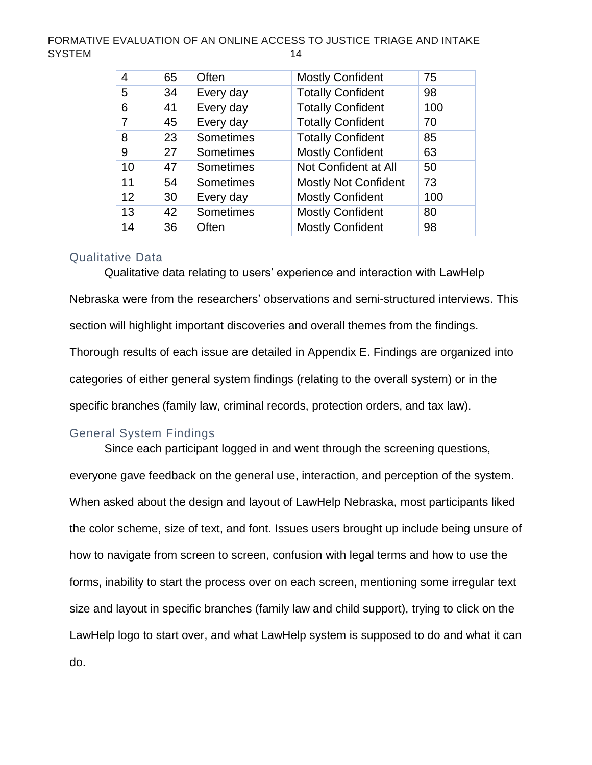| 4  | 65 | Often     | <b>Mostly Confident</b>     | 75  |
|----|----|-----------|-----------------------------|-----|
| 5  | 34 | Every day | <b>Totally Confident</b>    | 98  |
| 6  | 41 | Every day | <b>Totally Confident</b>    | 100 |
|    | 45 | Every day | <b>Totally Confident</b>    | 70  |
| 8  | 23 | Sometimes | <b>Totally Confident</b>    | 85  |
| 9  | 27 | Sometimes | <b>Mostly Confident</b>     | 63  |
| 10 | 47 | Sometimes | Not Confident at All        | 50  |
| 11 | 54 | Sometimes | <b>Mostly Not Confident</b> | 73  |
| 12 | 30 | Every day | <b>Mostly Confident</b>     | 100 |
| 13 | 42 | Sometimes | <b>Mostly Confident</b>     | 80  |
| 14 | 36 | Often     | <b>Mostly Confident</b>     | 98  |

#### <span id="page-14-0"></span>Qualitative Data

Qualitative data relating to users' experience and interaction with LawHelp Nebraska were from the researchers' observations and semi-structured interviews. This section will highlight important discoveries and overall themes from the findings. Thorough results of each issue are detailed in Appendix E. Findings are organized into categories of either general system findings (relating to the overall system) or in the specific branches (family law, criminal records, protection orders, and tax law).

#### <span id="page-14-1"></span>General System Findings

Since each participant logged in and went through the screening questions, everyone gave feedback on the general use, interaction, and perception of the system. When asked about the design and layout of LawHelp Nebraska, most participants liked the color scheme, size of text, and font. Issues users brought up include being unsure of how to navigate from screen to screen, confusion with legal terms and how to use the forms, inability to start the process over on each screen, mentioning some irregular text size and layout in specific branches (family law and child support), trying to click on the LawHelp logo to start over, and what LawHelp system is supposed to do and what it can do.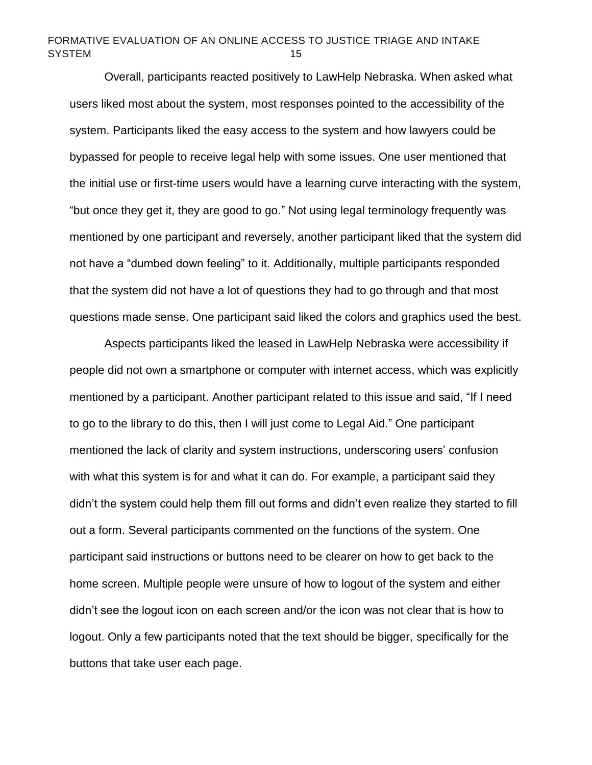Overall, participants reacted positively to LawHelp Nebraska. When asked what users liked most about the system, most responses pointed to the accessibility of the system. Participants liked the easy access to the system and how lawyers could be bypassed for people to receive legal help with some issues. One user mentioned that the initial use or first-time users would have a learning curve interacting with the system, "but once they get it, they are good to go." Not using legal terminology frequently was mentioned by one participant and reversely, another participant liked that the system did not have a "dumbed down feeling" to it. Additionally, multiple participants responded that the system did not have a lot of questions they had to go through and that most questions made sense. One participant said liked the colors and graphics used the best.

Aspects participants liked the leased in LawHelp Nebraska were accessibility if people did not own a smartphone or computer with internet access, which was explicitly mentioned by a participant. Another participant related to this issue and said, "If I need to go to the library to do this, then I will just come to Legal Aid." One participant mentioned the lack of clarity and system instructions, underscoring users' confusion with what this system is for and what it can do. For example, a participant said they didn't the system could help them fill out forms and didn't even realize they started to fill out a form. Several participants commented on the functions of the system. One participant said instructions or buttons need to be clearer on how to get back to the home screen. Multiple people were unsure of how to logout of the system and either didn't see the logout icon on each screen and/or the icon was not clear that is how to logout. Only a few participants noted that the text should be bigger, specifically for the buttons that take user each page.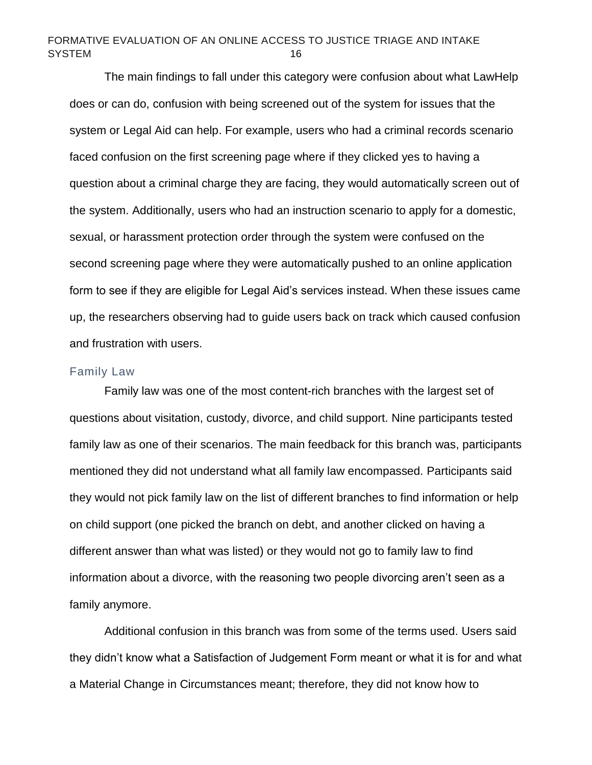The main findings to fall under this category were confusion about what LawHelp does or can do, confusion with being screened out of the system for issues that the system or Legal Aid can help. For example, users who had a criminal records scenario faced confusion on the first screening page where if they clicked yes to having a question about a criminal charge they are facing, they would automatically screen out of the system. Additionally, users who had an instruction scenario to apply for a domestic, sexual, or harassment protection order through the system were confused on the second screening page where they were automatically pushed to an online application form to see if they are eligible for Legal Aid's services instead. When these issues came up, the researchers observing had to guide users back on track which caused confusion and frustration with users.

#### <span id="page-16-0"></span>Family Law

Family law was one of the most content-rich branches with the largest set of questions about visitation, custody, divorce, and child support. Nine participants tested family law as one of their scenarios. The main feedback for this branch was, participants mentioned they did not understand what all family law encompassed. Participants said they would not pick family law on the list of different branches to find information or help on child support (one picked the branch on debt, and another clicked on having a different answer than what was listed) or they would not go to family law to find information about a divorce, with the reasoning two people divorcing aren't seen as a family anymore.

Additional confusion in this branch was from some of the terms used. Users said they didn't know what a Satisfaction of Judgement Form meant or what it is for and what a Material Change in Circumstances meant; therefore, they did not know how to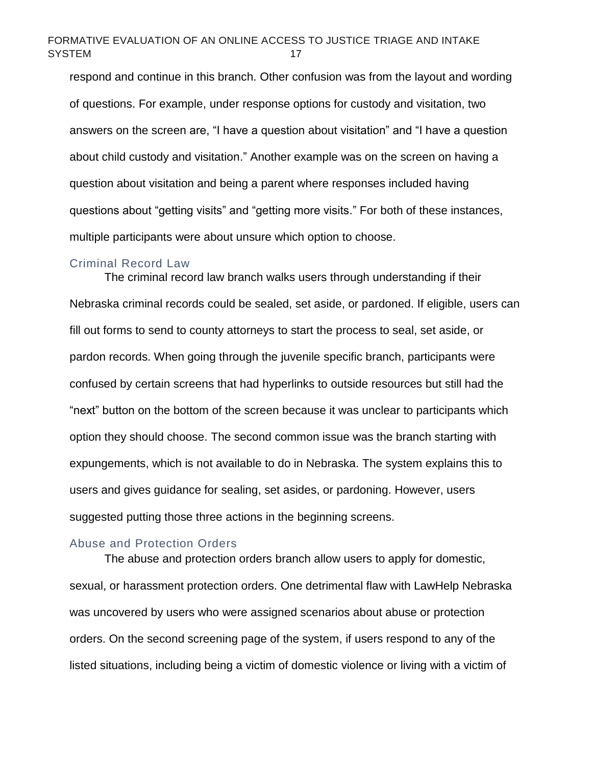respond and continue in this branch. Other confusion was from the layout and wording of questions. For example, under response options for custody and visitation, two answers on the screen are, "I have a question about visitation" and "I have a question about child custody and visitation." Another example was on the screen on having a question about visitation and being a parent where responses included having questions about "getting visits" and "getting more visits." For both of these instances, multiple participants were about unsure which option to choose.

#### <span id="page-17-0"></span>Criminal Record Law

The criminal record law branch walks users through understanding if their Nebraska criminal records could be sealed, set aside, or pardoned. If eligible, users can fill out forms to send to county attorneys to start the process to seal, set aside, or pardon records. When going through the juvenile specific branch, participants were confused by certain screens that had hyperlinks to outside resources but still had the "next" button on the bottom of the screen because it was unclear to participants which option they should choose. The second common issue was the branch starting with expungements, which is not available to do in Nebraska. The system explains this to users and gives guidance for sealing, set asides, or pardoning. However, users suggested putting those three actions in the beginning screens.

#### <span id="page-17-1"></span>Abuse and Protection Orders

The abuse and protection orders branch allow users to apply for domestic, sexual, or harassment protection orders. One detrimental flaw with LawHelp Nebraska was uncovered by users who were assigned scenarios about abuse or protection orders. On the second screening page of the system, if users respond to any of the listed situations, including being a victim of domestic violence or living with a victim of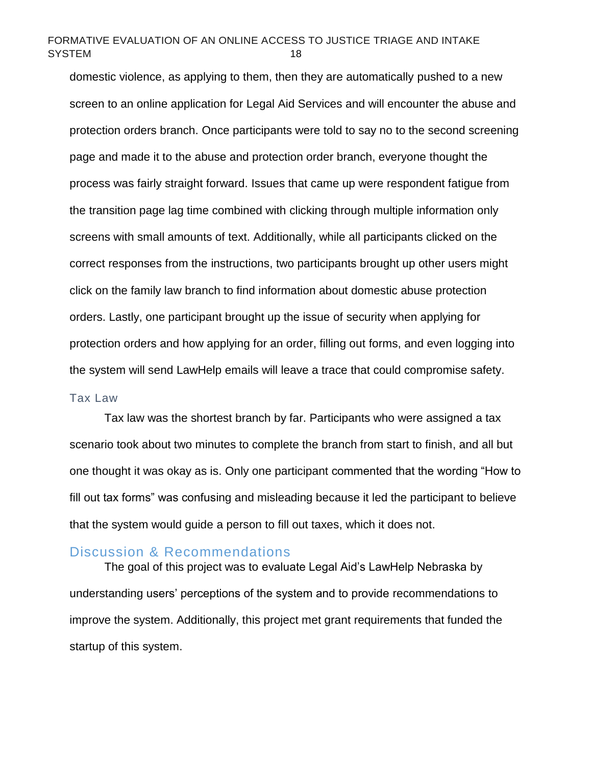domestic violence, as applying to them, then they are automatically pushed to a new screen to an online application for Legal Aid Services and will encounter the abuse and protection orders branch. Once participants were told to say no to the second screening page and made it to the abuse and protection order branch, everyone thought the process was fairly straight forward. Issues that came up were respondent fatigue from the transition page lag time combined with clicking through multiple information only screens with small amounts of text. Additionally, while all participants clicked on the correct responses from the instructions, two participants brought up other users might click on the family law branch to find information about domestic abuse protection orders. Lastly, one participant brought up the issue of security when applying for protection orders and how applying for an order, filling out forms, and even logging into the system will send LawHelp emails will leave a trace that could compromise safety.

#### <span id="page-18-0"></span>Tax Law

Tax law was the shortest branch by far. Participants who were assigned a tax scenario took about two minutes to complete the branch from start to finish, and all but one thought it was okay as is. Only one participant commented that the wording "How to fill out tax forms" was confusing and misleading because it led the participant to believe that the system would guide a person to fill out taxes, which it does not.

#### <span id="page-18-1"></span>Discussion & Recommendations

The goal of this project was to evaluate Legal Aid's LawHelp Nebraska by understanding users' perceptions of the system and to provide recommendations to improve the system. Additionally, this project met grant requirements that funded the startup of this system.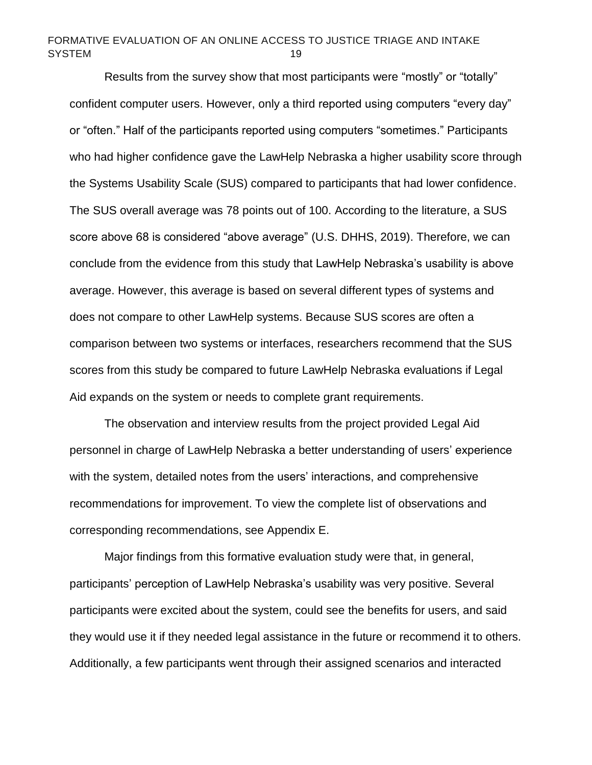Results from the survey show that most participants were "mostly" or "totally" confident computer users. However, only a third reported using computers "every day" or "often." Half of the participants reported using computers "sometimes." Participants who had higher confidence gave the LawHelp Nebraska a higher usability score through the Systems Usability Scale (SUS) compared to participants that had lower confidence. The SUS overall average was 78 points out of 100. According to the literature, a SUS score above 68 is considered "above average" (U.S. DHHS, 2019). Therefore, we can conclude from the evidence from this study that LawHelp Nebraska's usability is above average. However, this average is based on several different types of systems and does not compare to other LawHelp systems. Because SUS scores are often a comparison between two systems or interfaces, researchers recommend that the SUS scores from this study be compared to future LawHelp Nebraska evaluations if Legal Aid expands on the system or needs to complete grant requirements.

The observation and interview results from the project provided Legal Aid personnel in charge of LawHelp Nebraska a better understanding of users' experience with the system, detailed notes from the users' interactions, and comprehensive recommendations for improvement. To view the complete list of observations and corresponding recommendations, see Appendix E.

Major findings from this formative evaluation study were that, in general, participants' perception of LawHelp Nebraska's usability was very positive. Several participants were excited about the system, could see the benefits for users, and said they would use it if they needed legal assistance in the future or recommend it to others. Additionally, a few participants went through their assigned scenarios and interacted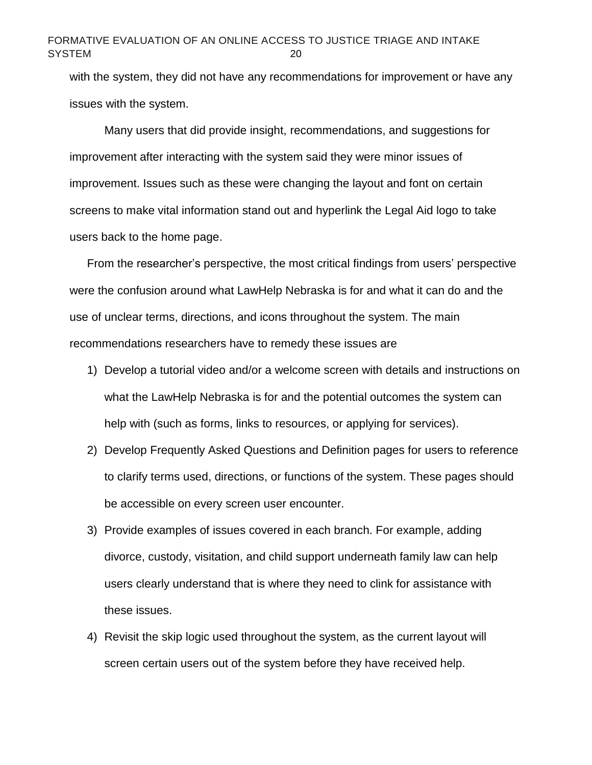with the system, they did not have any recommendations for improvement or have any issues with the system.

Many users that did provide insight, recommendations, and suggestions for improvement after interacting with the system said they were minor issues of improvement. Issues such as these were changing the layout and font on certain screens to make vital information stand out and hyperlink the Legal Aid logo to take users back to the home page.

From the researcher's perspective, the most critical findings from users' perspective were the confusion around what LawHelp Nebraska is for and what it can do and the use of unclear terms, directions, and icons throughout the system. The main recommendations researchers have to remedy these issues are

- 1) Develop a tutorial video and/or a welcome screen with details and instructions on what the LawHelp Nebraska is for and the potential outcomes the system can help with (such as forms, links to resources, or applying for services).
- 2) Develop Frequently Asked Questions and Definition pages for users to reference to clarify terms used, directions, or functions of the system. These pages should be accessible on every screen user encounter.
- 3) Provide examples of issues covered in each branch. For example, adding divorce, custody, visitation, and child support underneath family law can help users clearly understand that is where they need to clink for assistance with these issues.
- 4) Revisit the skip logic used throughout the system, as the current layout will screen certain users out of the system before they have received help.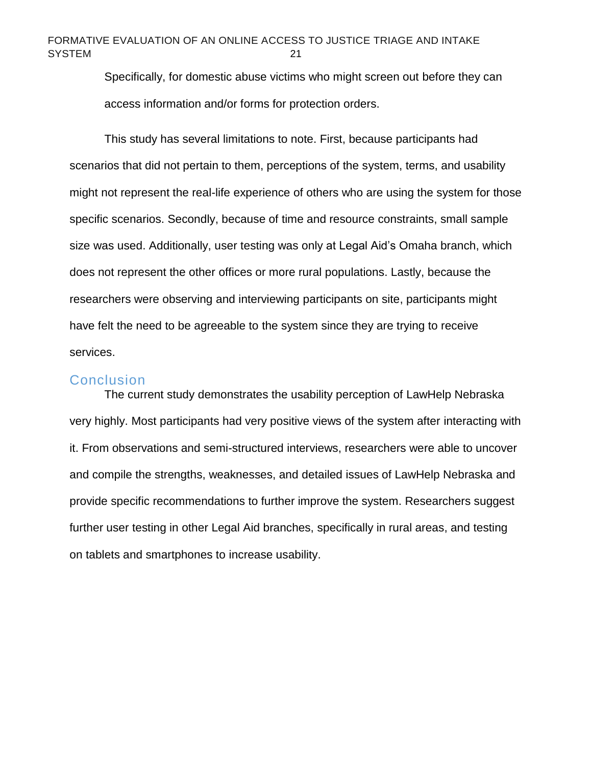Specifically, for domestic abuse victims who might screen out before they can access information and/or forms for protection orders.

This study has several limitations to note. First, because participants had scenarios that did not pertain to them, perceptions of the system, terms, and usability might not represent the real-life experience of others who are using the system for those specific scenarios. Secondly, because of time and resource constraints, small sample size was used. Additionally, user testing was only at Legal Aid's Omaha branch, which does not represent the other offices or more rural populations. Lastly, because the researchers were observing and interviewing participants on site, participants might have felt the need to be agreeable to the system since they are trying to receive services.

#### <span id="page-21-0"></span>**Conclusion**

The current study demonstrates the usability perception of LawHelp Nebraska very highly. Most participants had very positive views of the system after interacting with it. From observations and semi-structured interviews, researchers were able to uncover and compile the strengths, weaknesses, and detailed issues of LawHelp Nebraska and provide specific recommendations to further improve the system. Researchers suggest further user testing in other Legal Aid branches, specifically in rural areas, and testing on tablets and smartphones to increase usability.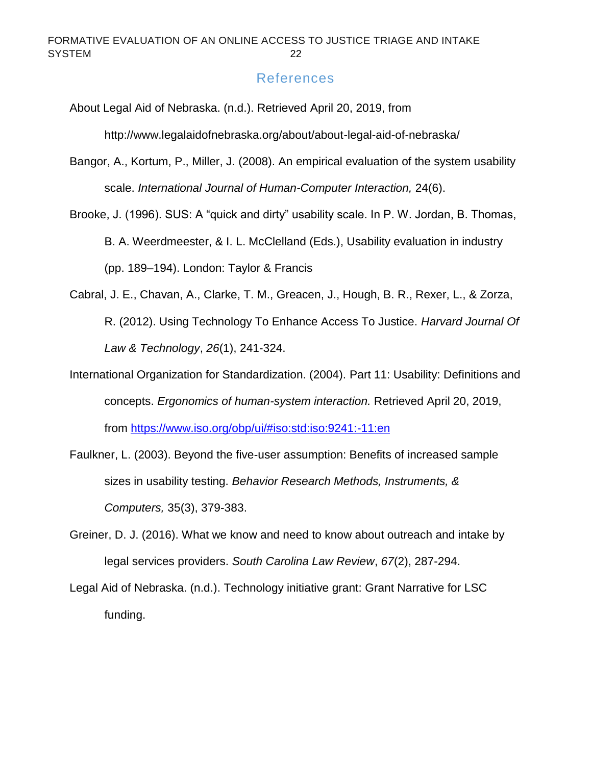# References

<span id="page-22-0"></span>About Legal Aid of Nebraska. (n.d.). Retrieved April 20, 2019, from

http://www.legalaidofnebraska.org/about/about-legal-aid-of-nebraska/

- Bangor, A., Kortum, P., Miller, J. (2008). An empirical evaluation of the system usability scale. *International Journal of Human-Computer Interaction,* 24(6).
- Brooke, J. (1996). SUS: A "quick and dirty" usability scale. In P. W. Jordan, B. Thomas, B. A. Weerdmeester, & I. L. McClelland (Eds.), Usability evaluation in industry (pp. 189–194). London: Taylor & Francis
- Cabral, J. E., Chavan, A., Clarke, T. M., Greacen, J., Hough, B. R., Rexer, L., & Zorza, R. (2012). Using Technology To Enhance Access To Justice. *Harvard Journal Of Law & Technology*, *26*(1), 241-324.
- International Organization for Standardization. (2004). Part 11: Usability: Definitions and concepts. *Ergonomics of human-system interaction.* Retrieved April 20, 2019, from<https://www.iso.org/obp/ui/#iso:std:iso:9241:-11:en>
- Faulkner, L. (2003). Beyond the five-user assumption: Benefits of increased sample sizes in usability testing. *Behavior Research Methods, Instruments, & Computers,* 35(3), 379-383.
- Greiner, D. J. (2016). What we know and need to know about outreach and intake by legal services providers. *South Carolina Law Review*, *67*(2), 287-294.
- Legal Aid of Nebraska. (n.d.). Technology initiative grant: Grant Narrative for LSC funding.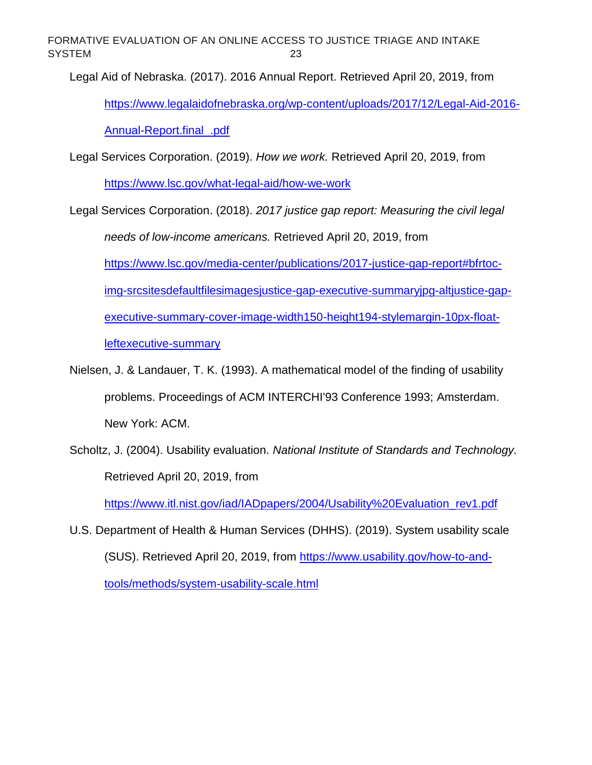Legal Aid of Nebraska. (2017). 2016 Annual Report. Retrieved April 20, 2019, from [https://www.legalaidofnebraska.org/wp-content/uploads/2017/12/Legal-Aid-2016-](https://www.legalaidofnebraska.org/wp-content/uploads/2017/12/Legal-Aid-2016-Annual-Report.final_.pdf)

Annual-Report.final .pdf

Legal Services Corporation. (2019). *How we work.* Retrieved April 20, 2019, from <https://www.lsc.gov/what-legal-aid/how-we-work>

Legal Services Corporation. (2018). *2017 justice gap report: Measuring the civil legal needs of low-income americans.* Retrieved April 20, 2019, from [https://www.lsc.gov/media-center/publications/2017-justice-gap-report#bfrtoc](https://www.lsc.gov/media-center/publications/2017-justice-gap-report#bfrtoc-img-srcsitesdefaultfilesimagesjustice-gap-executive-summaryjpg-altjustice-gap-executive-summary-cover-image-width150-height194-stylemargin-10px-float-leftexecutive-summary)[img-srcsitesdefaultfilesimagesjustice-gap-executive-summaryjpg-altjustice-gap](https://www.lsc.gov/media-center/publications/2017-justice-gap-report#bfrtoc-img-srcsitesdefaultfilesimagesjustice-gap-executive-summaryjpg-altjustice-gap-executive-summary-cover-image-width150-height194-stylemargin-10px-float-leftexecutive-summary)[executive-summary-cover-image-width150-height194-stylemargin-10px-float](https://www.lsc.gov/media-center/publications/2017-justice-gap-report#bfrtoc-img-srcsitesdefaultfilesimagesjustice-gap-executive-summaryjpg-altjustice-gap-executive-summary-cover-image-width150-height194-stylemargin-10px-float-leftexecutive-summary)[leftexecutive-summary](https://www.lsc.gov/media-center/publications/2017-justice-gap-report#bfrtoc-img-srcsitesdefaultfilesimagesjustice-gap-executive-summaryjpg-altjustice-gap-executive-summary-cover-image-width150-height194-stylemargin-10px-float-leftexecutive-summary)

Nielsen, J. & Landauer, T. K. (1993). A mathematical model of the finding of usability problems. Proceedings of ACM INTERCHI'93 Conference 1993; Amsterdam. New York: ACM.

Scholtz, J. (2004). Usability evaluation. *National Institute of Standards and Technology.*  Retrieved April 20, 2019, from

[https://www.itl.nist.gov/iad/IADpapers/2004/Usability%20Evaluation\\_rev1.pdf](https://www.itl.nist.gov/iad/IADpapers/2004/Usability%20Evaluation_rev1.pdf)

U.S. Department of Health & Human Services (DHHS). (2019). System usability scale (SUS). Retrieved April 20, 2019, from [https://www.usability.gov/how-to-and](https://www.usability.gov/how-to-and-tools/methods/system-usability-scale.html)[tools/methods/system-usability-scale.html](https://www.usability.gov/how-to-and-tools/methods/system-usability-scale.html)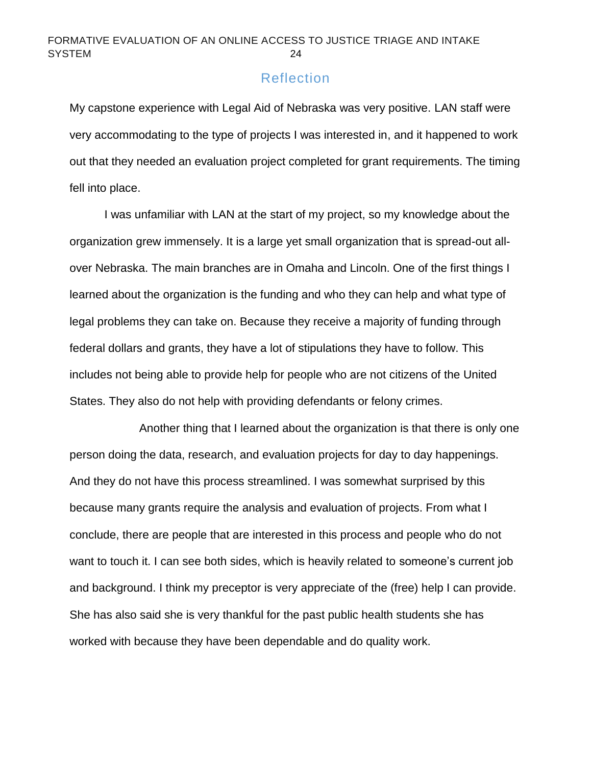# Reflection

<span id="page-24-0"></span>My capstone experience with Legal Aid of Nebraska was very positive. LAN staff were very accommodating to the type of projects I was interested in, and it happened to work out that they needed an evaluation project completed for grant requirements. The timing fell into place.

I was unfamiliar with LAN at the start of my project, so my knowledge about the organization grew immensely. It is a large yet small organization that is spread-out allover Nebraska. The main branches are in Omaha and Lincoln. One of the first things I learned about the organization is the funding and who they can help and what type of legal problems they can take on. Because they receive a majority of funding through federal dollars and grants, they have a lot of stipulations they have to follow. This includes not being able to provide help for people who are not citizens of the United States. They also do not help with providing defendants or felony crimes.

Another thing that I learned about the organization is that there is only one person doing the data, research, and evaluation projects for day to day happenings. And they do not have this process streamlined. I was somewhat surprised by this because many grants require the analysis and evaluation of projects. From what I conclude, there are people that are interested in this process and people who do not want to touch it. I can see both sides, which is heavily related to someone's current job and background. I think my preceptor is very appreciate of the (free) help I can provide. She has also said she is very thankful for the past public health students she has worked with because they have been dependable and do quality work.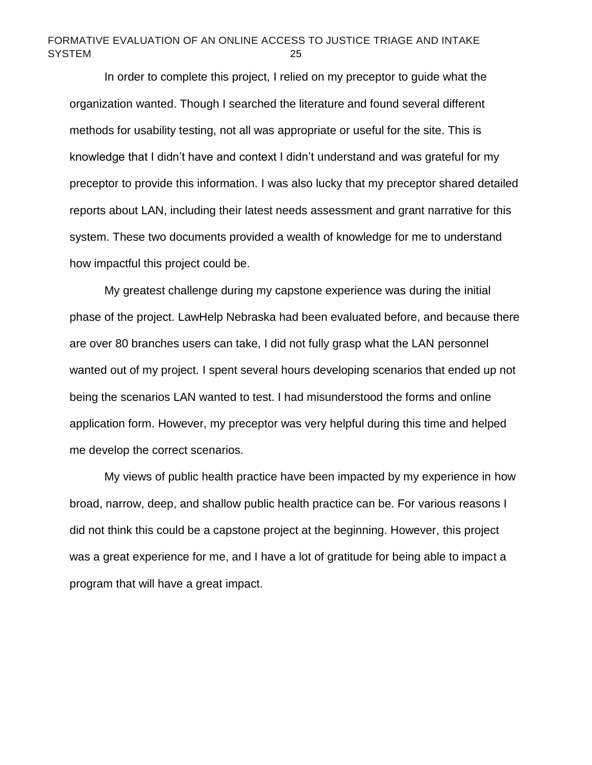In order to complete this project, I relied on my preceptor to guide what the organization wanted. Though I searched the literature and found several different methods for usability testing, not all was appropriate or useful for the site. This is knowledge that I didn't have and context I didn't understand and was grateful for my preceptor to provide this information. I was also lucky that my preceptor shared detailed reports about LAN, including their latest needs assessment and grant narrative for this system. These two documents provided a wealth of knowledge for me to understand how impactful this project could be.

My greatest challenge during my capstone experience was during the initial phase of the project. LawHelp Nebraska had been evaluated before, and because there are over 80 branches users can take, I did not fully grasp what the LAN personnel wanted out of my project. I spent several hours developing scenarios that ended up not being the scenarios LAN wanted to test. I had misunderstood the forms and online application form. However, my preceptor was very helpful during this time and helped me develop the correct scenarios.

My views of public health practice have been impacted by my experience in how broad, narrow, deep, and shallow public health practice can be. For various reasons I did not think this could be a capstone project at the beginning. However, this project was a great experience for me, and I have a lot of gratitude for being able to impact a program that will have a great impact.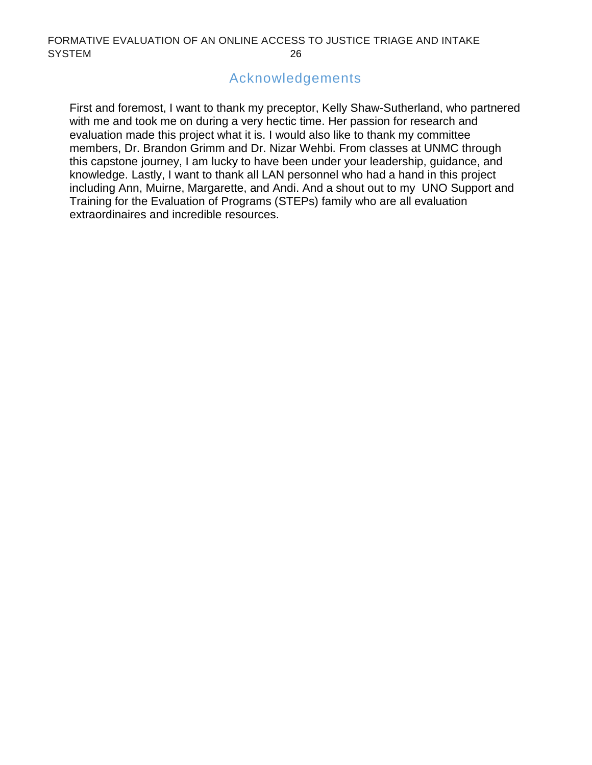# Acknowledgements

First and foremost, I want to thank my preceptor, Kelly Shaw-Sutherland, who partnered with me and took me on during a very hectic time. Her passion for research and evaluation made this project what it is. I would also like to thank my committee members, Dr. Brandon Grimm and Dr. Nizar Wehbi. From classes at UNMC through this capstone journey, I am lucky to have been under your leadership, guidance, and knowledge. Lastly, I want to thank all LAN personnel who had a hand in this project including Ann, Muirne, Margarette, and Andi. And a shout out to my UNO Support and Training for the Evaluation of Programs (STEPs) family who are all evaluation extraordinaires and incredible resources.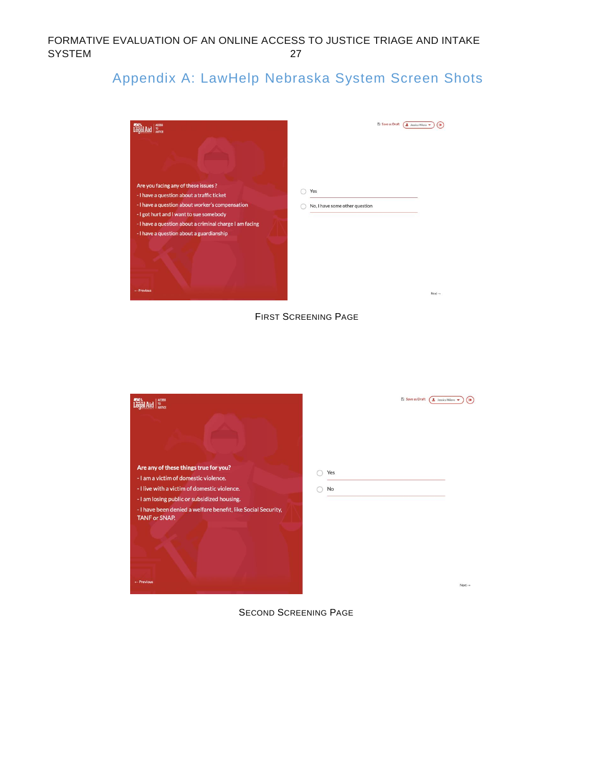# <span id="page-27-0"></span>Appendix A: LawHelp Nebraska System Screen Shots



FIRST SCREENING PAGE

| <b>ACCESS</b><br>TO.<br>JUSTICE                                                                                                                                                                                                                                                      | 图 Save as Draft<br><b>2</b> Jessica Wiens | <b>G</b>           |
|--------------------------------------------------------------------------------------------------------------------------------------------------------------------------------------------------------------------------------------------------------------------------------------|-------------------------------------------|--------------------|
| Are any of these things true for you?<br>- I am a victim of domestic violence.<br>- I live with a victim of domestic violence.<br>- I am losing public or subsidized housing.<br>- I have been denied a welfare benefit, like Social Security,<br><b>TANF or SNAP.</b><br>+ Previous | Yes<br>No                                 | $Next \rightarrow$ |

SECOND SCREENING PAGE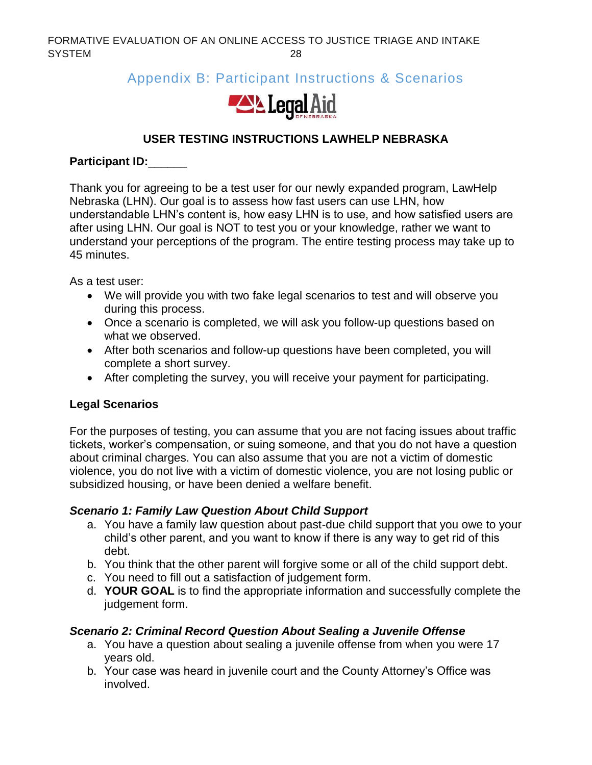# <span id="page-28-0"></span>Appendix B: Participant Instructions & Scenarios



# **USER TESTING INSTRUCTIONS LAWHELP NEBRASKA**

# **Participant ID:**\_\_\_\_\_\_

Thank you for agreeing to be a test user for our newly expanded program, LawHelp Nebraska (LHN). Our goal is to assess how fast users can use LHN, how understandable LHN's content is, how easy LHN is to use, and how satisfied users are after using LHN. Our goal is NOT to test you or your knowledge, rather we want to understand your perceptions of the program. The entire testing process may take up to 45 minutes.

As a test user:

- We will provide you with two fake legal scenarios to test and will observe you during this process.
- Once a scenario is completed, we will ask you follow-up questions based on what we observed.
- After both scenarios and follow-up questions have been completed, you will complete a short survey.
- After completing the survey, you will receive your payment for participating.

# **Legal Scenarios**

For the purposes of testing, you can assume that you are not facing issues about traffic tickets, worker's compensation, or suing someone, and that you do not have a question about criminal charges. You can also assume that you are not a victim of domestic violence, you do not live with a victim of domestic violence, you are not losing public or subsidized housing, or have been denied a welfare benefit.

# *Scenario 1: Family Law Question About Child Support*

- a. You have a family law question about past-due child support that you owe to your child's other parent, and you want to know if there is any way to get rid of this debt.
- b. You think that the other parent will forgive some or all of the child support debt.
- c. You need to fill out a satisfaction of judgement form.
- d. **YOUR GOAL** is to find the appropriate information and successfully complete the judgement form.

# *Scenario 2: Criminal Record Question About Sealing a Juvenile Offense*

- a. You have a question about sealing a juvenile offense from when you were 17 years old.
- b. Your case was heard in juvenile court and the County Attorney's Office was involved.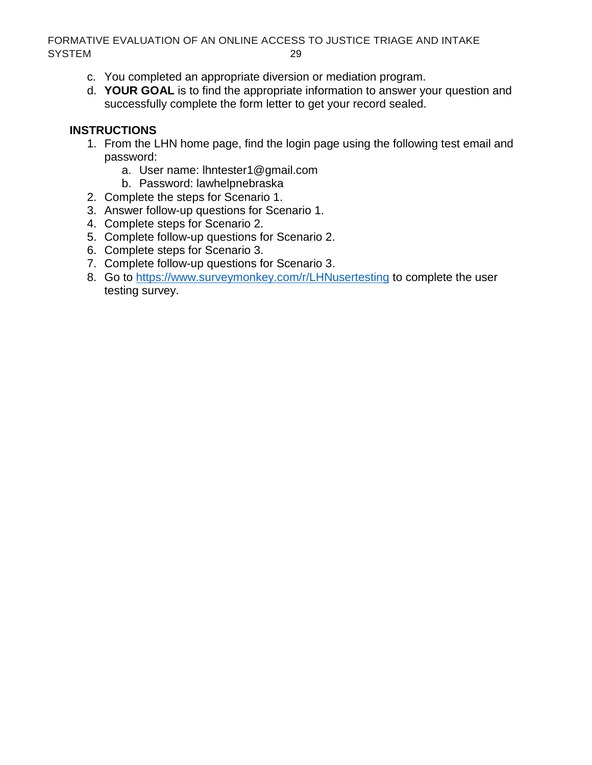- <span id="page-29-0"></span>c. You completed an appropriate diversion or mediation program.
- d. **YOUR GOAL** is to find the appropriate information to answer your question and successfully complete the form letter to get your record sealed.

# **INSTRUCTIONS**

- 1. From the LHN home page, find the login page using the following test email and password:
	- a. User name: lhntester1@gmail.com
	- b. Password: lawhelpnebraska
- 2. Complete the steps for Scenario 1.
- 3. Answer follow-up questions for Scenario 1.
- 4. Complete steps for Scenario 2.
- 5. Complete follow-up questions for Scenario 2.
- 6. Complete steps for Scenario 3.
- 7. Complete follow-up questions for Scenario 3.
- 8. Go to<https://www.surveymonkey.com/r/LHNusertesting> to complete the user testing survey.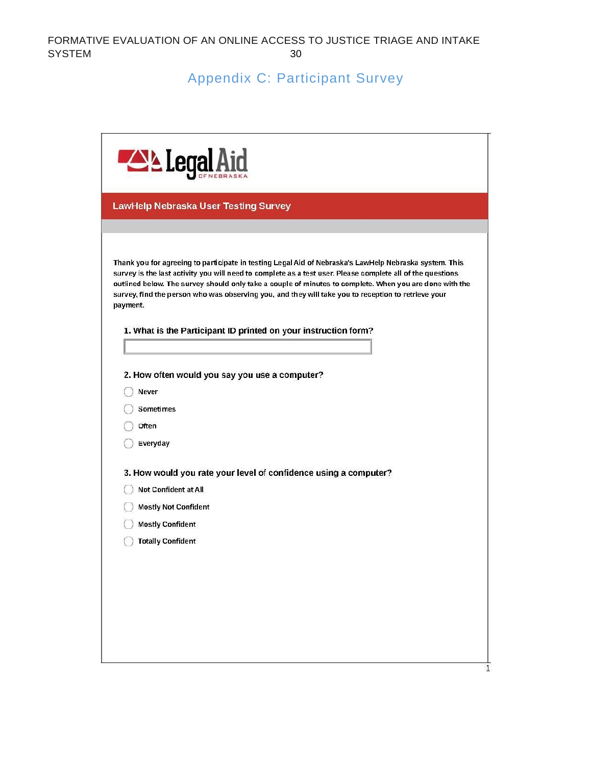# Appendix C: Participant Survey

| <b>LawHelp Nebraska User Testing Survey</b><br>Thank you for agreeing to participate in testing Legal Aid of Nebraska's LawHelp Nebraska system. This<br>survey is the last activity you will need to complete as a test user. Please complete all of the questions<br>outlined below. The survey should only take a couple of minutes to complete. When you are done with the<br>survey, find the person who was observing you, and they will take you to reception to retrieve your<br>payment.<br>1. What is the Participant ID printed on your instruction form?<br>2. How often would you say you use a computer?<br>Never<br><b>Sometimes</b><br>Often<br>Everyday<br>3. How would you rate your level of confidence using a computer?<br>Not Confident at All | <b>ALL</b> Legal            |  |  |  |  |
|----------------------------------------------------------------------------------------------------------------------------------------------------------------------------------------------------------------------------------------------------------------------------------------------------------------------------------------------------------------------------------------------------------------------------------------------------------------------------------------------------------------------------------------------------------------------------------------------------------------------------------------------------------------------------------------------------------------------------------------------------------------------|-----------------------------|--|--|--|--|
|                                                                                                                                                                                                                                                                                                                                                                                                                                                                                                                                                                                                                                                                                                                                                                      |                             |  |  |  |  |
|                                                                                                                                                                                                                                                                                                                                                                                                                                                                                                                                                                                                                                                                                                                                                                      |                             |  |  |  |  |
|                                                                                                                                                                                                                                                                                                                                                                                                                                                                                                                                                                                                                                                                                                                                                                      |                             |  |  |  |  |
|                                                                                                                                                                                                                                                                                                                                                                                                                                                                                                                                                                                                                                                                                                                                                                      |                             |  |  |  |  |
|                                                                                                                                                                                                                                                                                                                                                                                                                                                                                                                                                                                                                                                                                                                                                                      |                             |  |  |  |  |
|                                                                                                                                                                                                                                                                                                                                                                                                                                                                                                                                                                                                                                                                                                                                                                      |                             |  |  |  |  |
|                                                                                                                                                                                                                                                                                                                                                                                                                                                                                                                                                                                                                                                                                                                                                                      |                             |  |  |  |  |
| <b>Mostly Confident</b>                                                                                                                                                                                                                                                                                                                                                                                                                                                                                                                                                                                                                                                                                                                                              | <b>Mostly Not Confident</b> |  |  |  |  |
| <b>Totally Confident</b>                                                                                                                                                                                                                                                                                                                                                                                                                                                                                                                                                                                                                                                                                                                                             |                             |  |  |  |  |
|                                                                                                                                                                                                                                                                                                                                                                                                                                                                                                                                                                                                                                                                                                                                                                      |                             |  |  |  |  |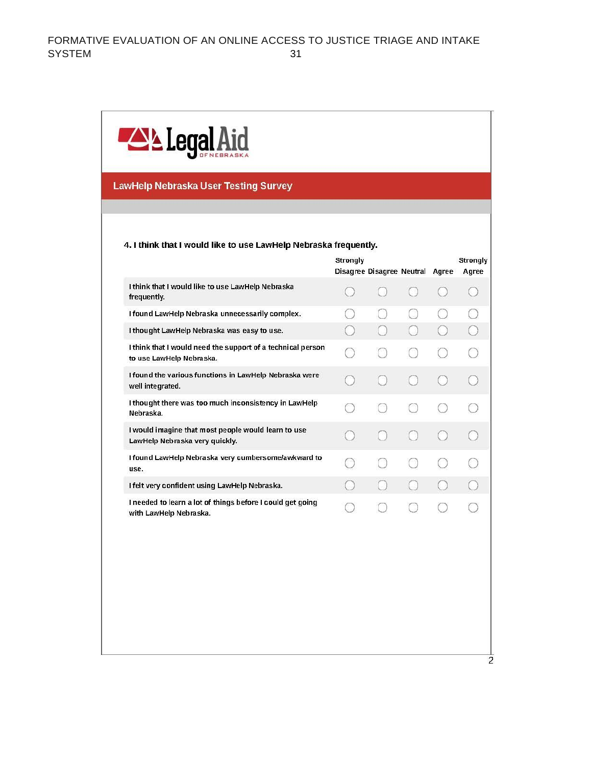

#### **LawHelp Nebraska User Testing Survey**

#### 4. I think that I would like to use LawHelp Nebraska frequently.

|                                                                                         | Strongly<br>Disagree Disagree Neutral |  | Agree | Strongly<br>Agree |
|-----------------------------------------------------------------------------------------|---------------------------------------|--|-------|-------------------|
| I think that I would like to use LawHelp Nebraska<br>frequently.                        |                                       |  |       |                   |
| I found LawHelp Nebraska unnecessarily complex.                                         |                                       |  |       |                   |
| I thought LawHelp Nebraska was easy to use.                                             |                                       |  |       |                   |
| I think that I would need the support of a technical person<br>to use LawHelp Nebraska. |                                       |  |       |                   |
| I found the various functions in LawHelp Nebraska were<br>well integrated.              |                                       |  |       |                   |
| I thought there was too much inconsistency in LawHelp<br>Nebraska.                      |                                       |  |       |                   |
| I would imagine that most people would learn to use<br>LawHelp Nebraska very quickly.   |                                       |  |       |                   |
| I found LawHelp Nebraska very cumbersome/awkward to<br>use.                             |                                       |  |       |                   |
| I felt very confident using LawHelp Nebraska.                                           |                                       |  |       |                   |
| I needed to learn a lot of things before I could get going<br>with LawHelp Nebraska.    |                                       |  |       |                   |
|                                                                                         |                                       |  |       |                   |
|                                                                                         |                                       |  |       |                   |
|                                                                                         |                                       |  |       |                   |
|                                                                                         |                                       |  |       |                   |

 $\overline{2}$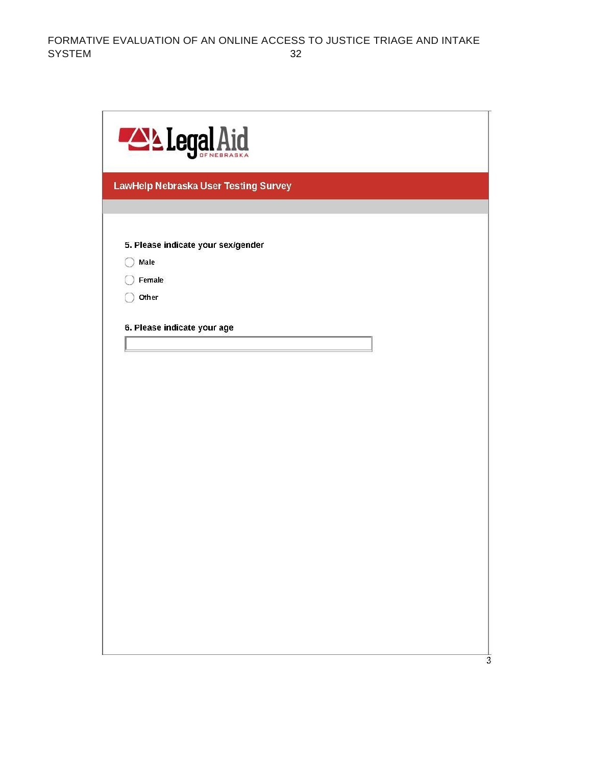| <b>ALLegal Aid</b>                   |  |
|--------------------------------------|--|
| LawHelp Nebraska User Testing Survey |  |
|                                      |  |
| 5. Please indicate your sex/gender   |  |
| Male                                 |  |
| Female                               |  |
| Other                                |  |
| 6. Please indicate your age          |  |
|                                      |  |
|                                      |  |
|                                      |  |
|                                      |  |
|                                      |  |
|                                      |  |
|                                      |  |
|                                      |  |
|                                      |  |
|                                      |  |
|                                      |  |
|                                      |  |
|                                      |  |
|                                      |  |
|                                      |  |
|                                      |  |
|                                      |  |

 $\frac{1}{3}$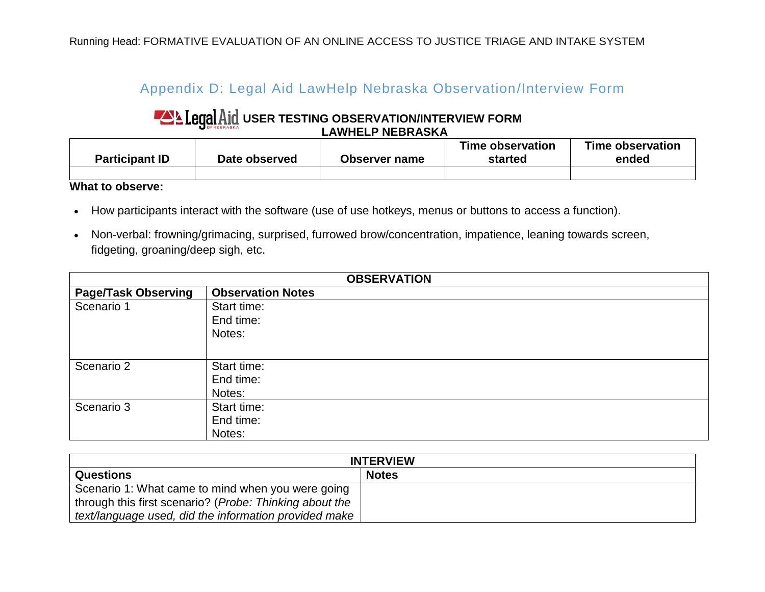# Appendix D: Legal Aid LawHelp Nebraska Observation/Interview Form

# **LAND EXPERIENCE THE STING OBSERVATION/INTERVIEW FORM LAWHELP NEBRASKA**

| <b>Participant ID</b> | Date observed | Observer name | Time observation<br>started | Time observation<br>ended |
|-----------------------|---------------|---------------|-----------------------------|---------------------------|
|                       |               |               |                             |                           |

**What to observe:**

- How participants interact with the software (use of use hotkeys, menus or buttons to access a function).
- <span id="page-33-0"></span>• Non-verbal: frowning/grimacing, surprised, furrowed brow/concentration, impatience, leaning towards screen, fidgeting, groaning/deep sigh, etc.

| <b>OBSERVATION</b>         |                          |  |  |
|----------------------------|--------------------------|--|--|
| <b>Page/Task Observing</b> | <b>Observation Notes</b> |  |  |
| Scenario 1                 | Start time:              |  |  |
|                            | End time:                |  |  |
|                            | Notes:                   |  |  |
|                            |                          |  |  |
| Scenario 2                 | Start time:              |  |  |
|                            | End time:                |  |  |
|                            | Notes:                   |  |  |
| Scenario 3                 | Start time:              |  |  |
|                            | End time:                |  |  |
|                            | Notes:                   |  |  |

| <b>INTERVIEW</b>                                        |              |  |  |  |
|---------------------------------------------------------|--------------|--|--|--|
| <b>Questions</b>                                        | <b>Notes</b> |  |  |  |
| Scenario 1: What came to mind when you were going       |              |  |  |  |
| through this first scenario? (Probe: Thinking about the |              |  |  |  |
| text/language used, did the information provided make   |              |  |  |  |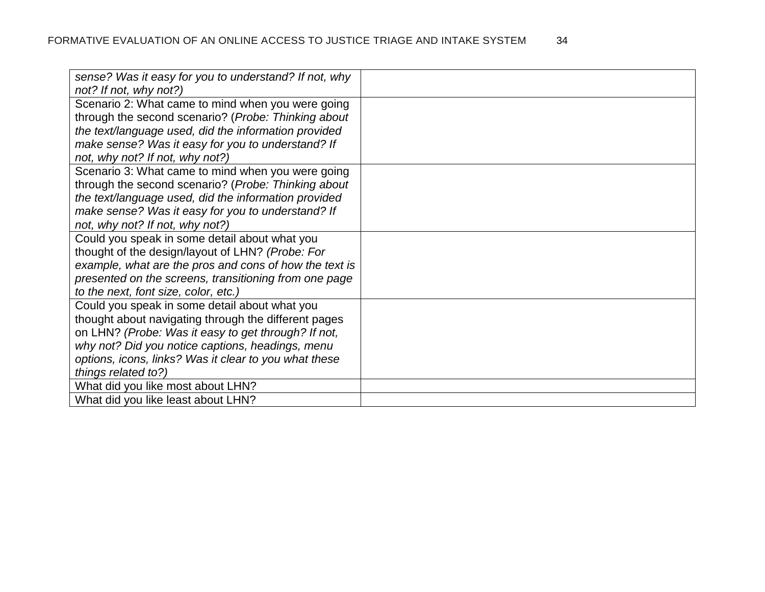| sense? Was it easy for you to understand? If not, why  |  |
|--------------------------------------------------------|--|
| not? If not, why not?)                                 |  |
| Scenario 2: What came to mind when you were going      |  |
| through the second scenario? (Probe: Thinking about    |  |
| the text/language used, did the information provided   |  |
| make sense? Was it easy for you to understand? If      |  |
| not, why not? If not, why not?)                        |  |
| Scenario 3: What came to mind when you were going      |  |
| through the second scenario? (Probe: Thinking about    |  |
| the text/language used, did the information provided   |  |
| make sense? Was it easy for you to understand? If      |  |
| not, why not? If not, why not?)                        |  |
| Could you speak in some detail about what you          |  |
| thought of the design/layout of LHN? (Probe: For       |  |
| example, what are the pros and cons of how the text is |  |
| presented on the screens, transitioning from one page  |  |
| to the next, font size, color, etc.)                   |  |
| Could you speak in some detail about what you          |  |
| thought about navigating through the different pages   |  |
| on LHN? (Probe: Was it easy to get through? If not,    |  |
| why not? Did you notice captions, headings, menu       |  |
| options, icons, links? Was it clear to you what these  |  |
| things related to?)                                    |  |
| What did you like most about LHN?                      |  |
| What did you like least about LHN?                     |  |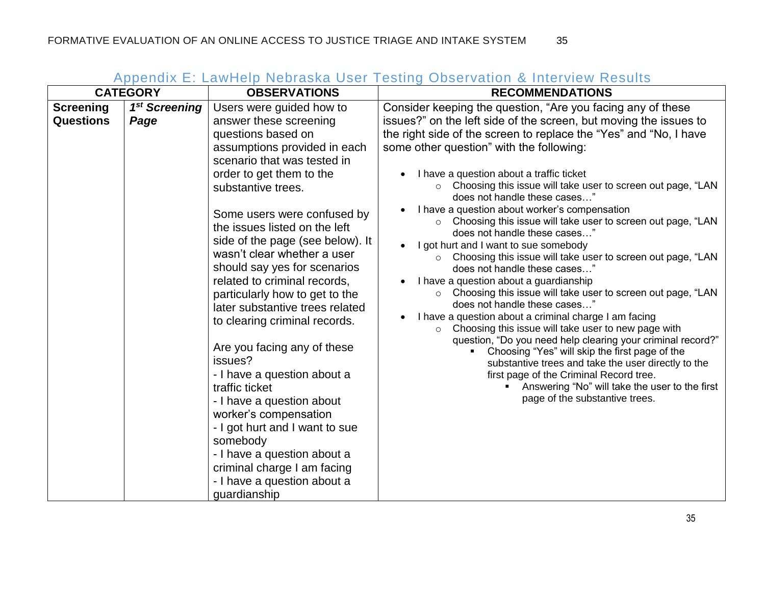<span id="page-35-0"></span>

|                                      | <b>CATEGORY</b>                   | <b>OBSERVATIONS</b>                                                                                                                                                                                                                                                                                                                                                                                                                                                                                                                                                                                                                                                                                                                                                                                            | <b>TPPONSIA L. Lawrop Nobracha Coor Toomig Oboorvanch &amp; Mitchview Nobalto</b><br><b>RECOMMENDATIONS</b>                                                                                                                                                                                                                                                                                                                                                                                                                                                                                                                                                                                                                                                                                                                                                                                                                                                                                                                                                                                                                                                                                                                                                                                        |
|--------------------------------------|-----------------------------------|----------------------------------------------------------------------------------------------------------------------------------------------------------------------------------------------------------------------------------------------------------------------------------------------------------------------------------------------------------------------------------------------------------------------------------------------------------------------------------------------------------------------------------------------------------------------------------------------------------------------------------------------------------------------------------------------------------------------------------------------------------------------------------------------------------------|----------------------------------------------------------------------------------------------------------------------------------------------------------------------------------------------------------------------------------------------------------------------------------------------------------------------------------------------------------------------------------------------------------------------------------------------------------------------------------------------------------------------------------------------------------------------------------------------------------------------------------------------------------------------------------------------------------------------------------------------------------------------------------------------------------------------------------------------------------------------------------------------------------------------------------------------------------------------------------------------------------------------------------------------------------------------------------------------------------------------------------------------------------------------------------------------------------------------------------------------------------------------------------------------------|
| <b>Screening</b><br><b>Questions</b> | 1 <sup>st</sup> Screening<br>Page | Users were guided how to<br>answer these screening<br>questions based on<br>assumptions provided in each<br>scenario that was tested in<br>order to get them to the<br>substantive trees.<br>Some users were confused by<br>the issues listed on the left<br>side of the page (see below). It<br>wasn't clear whether a user<br>should say yes for scenarios<br>related to criminal records,<br>particularly how to get to the<br>later substantive trees related<br>to clearing criminal records.<br>Are you facing any of these<br>issues?<br>- I have a question about a<br>traffic ticket<br>- I have a question about<br>worker's compensation<br>- I got hurt and I want to sue<br>somebody<br>- I have a question about a<br>criminal charge I am facing<br>- I have a question about a<br>guardianship | Consider keeping the question, "Are you facing any of these<br>issues?" on the left side of the screen, but moving the issues to<br>the right side of the screen to replace the "Yes" and "No, I have<br>some other question" with the following:<br>I have a question about a traffic ticket<br>Choosing this issue will take user to screen out page, "LAN<br>$\circ$<br>does not handle these cases"<br>I have a question about worker's compensation<br>○ Choosing this issue will take user to screen out page, "LAN<br>does not handle these cases"<br>I got hurt and I want to sue somebody<br>Choosing this issue will take user to screen out page, "LAN<br>$\circ$<br>does not handle these cases"<br>I have a question about a guardianship<br>Choosing this issue will take user to screen out page, "LAN<br>$\circ$<br>does not handle these cases"<br>I have a question about a criminal charge I am facing<br>Choosing this issue will take user to new page with<br>$\circ$<br>question, "Do you need help clearing your criminal record?"<br>Choosing "Yes" will skip the first page of the<br>substantive trees and take the user directly to the<br>first page of the Criminal Record tree.<br>Answering "No" will take the user to the first<br>page of the substantive trees. |

# Appendix E: LawHelp Nebraska User Testing Observation & Interview Results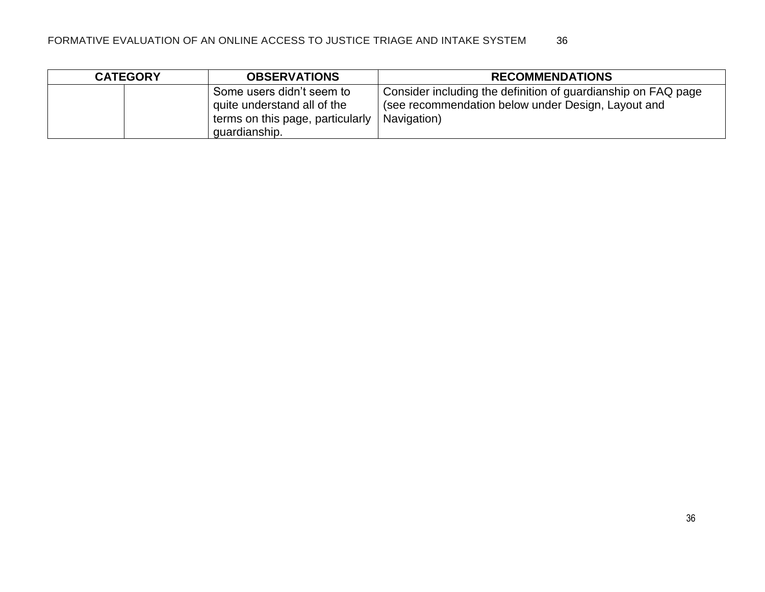| <b>CATEGORY</b> | <b>OBSERVATIONS</b>                                                                                           | <b>RECOMMENDATIONS</b>                                                                                                             |
|-----------------|---------------------------------------------------------------------------------------------------------------|------------------------------------------------------------------------------------------------------------------------------------|
|                 | Some users didn't seem to<br>quite understand all of the<br>terms on this page, particularly<br>quardianship. | Consider including the definition of guardianship on FAQ page<br>(see recommendation below under Design, Layout and<br>Navigation) |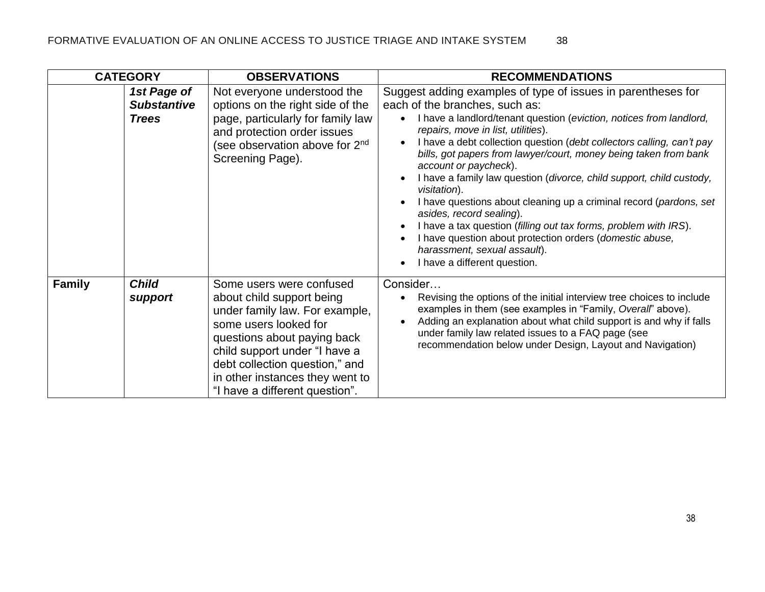|               | <b>CATEGORY</b>                                   | <b>OBSERVATIONS</b>                                                                                                                                                                                                                                                                     | <b>RECOMMENDATIONS</b>                                                                                                                                                                                                                                                                                                                                                                                                                                                                                                                                                                                                                                                                                                                                                                                             |
|---------------|---------------------------------------------------|-----------------------------------------------------------------------------------------------------------------------------------------------------------------------------------------------------------------------------------------------------------------------------------------|--------------------------------------------------------------------------------------------------------------------------------------------------------------------------------------------------------------------------------------------------------------------------------------------------------------------------------------------------------------------------------------------------------------------------------------------------------------------------------------------------------------------------------------------------------------------------------------------------------------------------------------------------------------------------------------------------------------------------------------------------------------------------------------------------------------------|
|               | 1st Page of<br><b>Substantive</b><br><b>Trees</b> | Not everyone understood the<br>options on the right side of the<br>page, particularly for family law<br>and protection order issues<br>(see observation above for 2 <sup>nd</sup><br>Screening Page).                                                                                   | Suggest adding examples of type of issues in parentheses for<br>each of the branches, such as:<br>I have a landlord/tenant question (eviction, notices from landlord,<br>repairs, move in list, utilities).<br>I have a debt collection question (debt collectors calling, can't pay<br>$\bullet$<br>bills, got papers from lawyer/court, money being taken from bank<br>account or paycheck).<br>I have a family law question (divorce, child support, child custody,<br>visitation).<br>I have questions about cleaning up a criminal record (pardons, set<br>asides, record sealing).<br>I have a tax question (filling out tax forms, problem with IRS).<br>$\bullet$<br>I have question about protection orders (domestic abuse,<br>$\bullet$<br>harassment, sexual assault).<br>I have a different question. |
| <b>Family</b> | <b>Child</b><br>support                           | Some users were confused<br>about child support being<br>under family law. For example,<br>some users looked for<br>questions about paying back<br>child support under "I have a<br>debt collection question," and<br>in other instances they went to<br>"I have a different question". | Consider<br>Revising the options of the initial interview tree choices to include<br>examples in them (see examples in "Family, Overall" above).<br>Adding an explanation about what child support is and why if falls<br>under family law related issues to a FAQ page (see<br>recommendation below under Design, Layout and Navigation)                                                                                                                                                                                                                                                                                                                                                                                                                                                                          |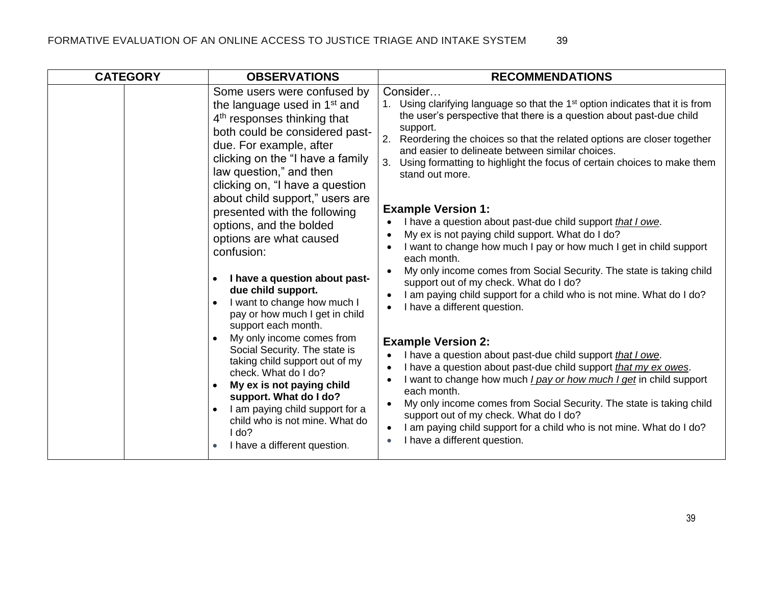| <b>CATEGORY</b> | <b>OBSERVATIONS</b>                                                                                                                                                                                                                                                                                                                                                                                                                                                                                                                                                                                                                                                                                                                                                                                                                                                                                                                                | <b>RECOMMENDATIONS</b>                                                                                                                                                                                                                                                                                                                                                                                                                                                                                                                                                                                                                                                                                                                                                                                                                                                                                                                                                                                                                                                                                                                                                                                                                                                                                                                                                                                               |
|-----------------|----------------------------------------------------------------------------------------------------------------------------------------------------------------------------------------------------------------------------------------------------------------------------------------------------------------------------------------------------------------------------------------------------------------------------------------------------------------------------------------------------------------------------------------------------------------------------------------------------------------------------------------------------------------------------------------------------------------------------------------------------------------------------------------------------------------------------------------------------------------------------------------------------------------------------------------------------|----------------------------------------------------------------------------------------------------------------------------------------------------------------------------------------------------------------------------------------------------------------------------------------------------------------------------------------------------------------------------------------------------------------------------------------------------------------------------------------------------------------------------------------------------------------------------------------------------------------------------------------------------------------------------------------------------------------------------------------------------------------------------------------------------------------------------------------------------------------------------------------------------------------------------------------------------------------------------------------------------------------------------------------------------------------------------------------------------------------------------------------------------------------------------------------------------------------------------------------------------------------------------------------------------------------------------------------------------------------------------------------------------------------------|
|                 | Some users were confused by<br>the language used in 1 <sup>st</sup> and<br>4 <sup>th</sup> responses thinking that<br>both could be considered past-<br>due. For example, after<br>clicking on the "I have a family<br>law question," and then<br>clicking on, "I have a question<br>about child support," users are<br>presented with the following<br>options, and the bolded<br>options are what caused<br>confusion:<br>I have a question about past-<br>$\bullet$<br>due child support.<br>I want to change how much I<br>$\bullet$<br>pay or how much I get in child<br>support each month.<br>My only income comes from<br>$\bullet$<br>Social Security. The state is<br>taking child support out of my<br>check. What do I do?<br>My ex is not paying child<br>$\bullet$<br>support. What do I do?<br>I am paying child support for a<br>$\bullet$<br>child who is not mine. What do<br>I do?<br>I have a different question.<br>$\bullet$ | Consider<br>Using clarifying language so that the 1 <sup>st</sup> option indicates that it is from<br>the user's perspective that there is a question about past-due child<br>support.<br>2.<br>Reordering the choices so that the related options are closer together<br>and easier to delineate between similar choices.<br>3. Using formatting to highlight the focus of certain choices to make them<br>stand out more.<br><b>Example Version 1:</b><br>I have a question about past-due child support that I owe.<br>My ex is not paying child support. What do I do?<br>$\bullet$<br>I want to change how much I pay or how much I get in child support<br>each month.<br>My only income comes from Social Security. The state is taking child<br>support out of my check. What do I do?<br>I am paying child support for a child who is not mine. What do I do?<br>I have a different question.<br><b>Example Version 2:</b><br>I have a question about past-due child support that I owe.<br>I have a question about past-due child support that my ex owes.<br>I want to change how much <i>I pay or how much I get</i> in child support<br>$\bullet$<br>each month.<br>My only income comes from Social Security. The state is taking child<br>support out of my check. What do I do?<br>I am paying child support for a child who is not mine. What do I do?<br>$\bullet$<br>I have a different question. |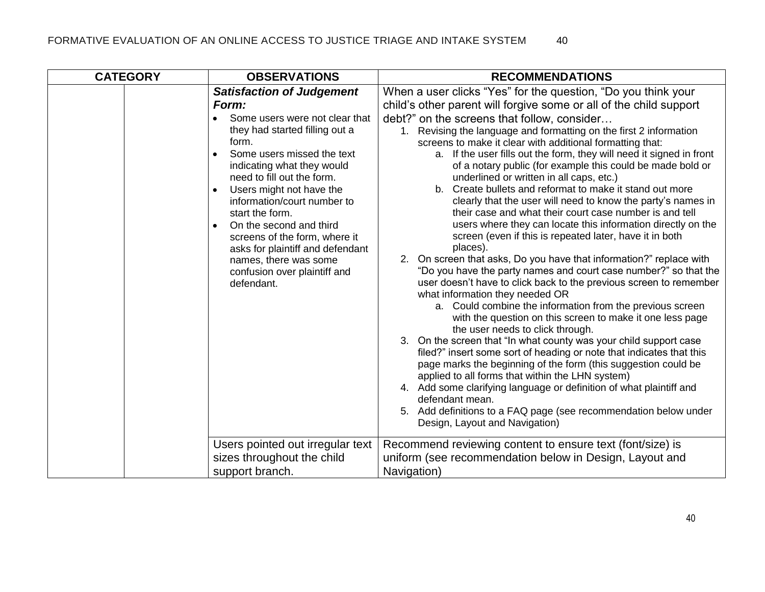| <b>CATEGORY</b> | <b>OBSERVATIONS</b>                                                                                                                                                                                                                                                                                                                                                                                                                                                                | <b>RECOMMENDATIONS</b>                                                                                                                                                                                                                                                                                                                                                                                                                                                                                                                                                                                                                                                                                                                                                                                                                                                                                                                                                                                                                                                                                                                                                                                                                                                                                                                                                                                                                                                                                                                                                                                                                                                                                                             |
|-----------------|------------------------------------------------------------------------------------------------------------------------------------------------------------------------------------------------------------------------------------------------------------------------------------------------------------------------------------------------------------------------------------------------------------------------------------------------------------------------------------|------------------------------------------------------------------------------------------------------------------------------------------------------------------------------------------------------------------------------------------------------------------------------------------------------------------------------------------------------------------------------------------------------------------------------------------------------------------------------------------------------------------------------------------------------------------------------------------------------------------------------------------------------------------------------------------------------------------------------------------------------------------------------------------------------------------------------------------------------------------------------------------------------------------------------------------------------------------------------------------------------------------------------------------------------------------------------------------------------------------------------------------------------------------------------------------------------------------------------------------------------------------------------------------------------------------------------------------------------------------------------------------------------------------------------------------------------------------------------------------------------------------------------------------------------------------------------------------------------------------------------------------------------------------------------------------------------------------------------------|
|                 | <b>Satisfaction of Judgement</b><br>Form:<br>Some users were not clear that<br>they had started filling out a<br>form.<br>Some users missed the text<br>indicating what they would<br>need to fill out the form.<br>Users might not have the<br>$\bullet$<br>information/court number to<br>start the form.<br>On the second and third<br>screens of the form, where it<br>asks for plaintiff and defendant<br>names, there was some<br>confusion over plaintiff and<br>defendant. | When a user clicks "Yes" for the question, "Do you think your<br>child's other parent will forgive some or all of the child support<br>debt?" on the screens that follow, consider<br>1. Revising the language and formatting on the first 2 information<br>screens to make it clear with additional formatting that:<br>a. If the user fills out the form, they will need it signed in front<br>of a notary public (for example this could be made bold or<br>underlined or written in all caps, etc.)<br>Create bullets and reformat to make it stand out more<br>$b_{-}$<br>clearly that the user will need to know the party's names in<br>their case and what their court case number is and tell<br>users where they can locate this information directly on the<br>screen (even if this is repeated later, have it in both<br>places).<br>2. On screen that asks, Do you have that information?" replace with<br>"Do you have the party names and court case number?" so that the<br>user doesn't have to click back to the previous screen to remember<br>what information they needed OR<br>a. Could combine the information from the previous screen<br>with the question on this screen to make it one less page<br>the user needs to click through.<br>3. On the screen that "In what county was your child support case<br>filed?" insert some sort of heading or note that indicates that this<br>page marks the beginning of the form (this suggestion could be<br>applied to all forms that within the LHN system)<br>4. Add some clarifying language or definition of what plaintiff and<br>defendant mean.<br>5. Add definitions to a FAQ page (see recommendation below under<br>Design, Layout and Navigation) |
|                 | Users pointed out irregular text<br>sizes throughout the child<br>support branch.                                                                                                                                                                                                                                                                                                                                                                                                  | Recommend reviewing content to ensure text (font/size) is<br>uniform (see recommendation below in Design, Layout and<br>Navigation)                                                                                                                                                                                                                                                                                                                                                                                                                                                                                                                                                                                                                                                                                                                                                                                                                                                                                                                                                                                                                                                                                                                                                                                                                                                                                                                                                                                                                                                                                                                                                                                                |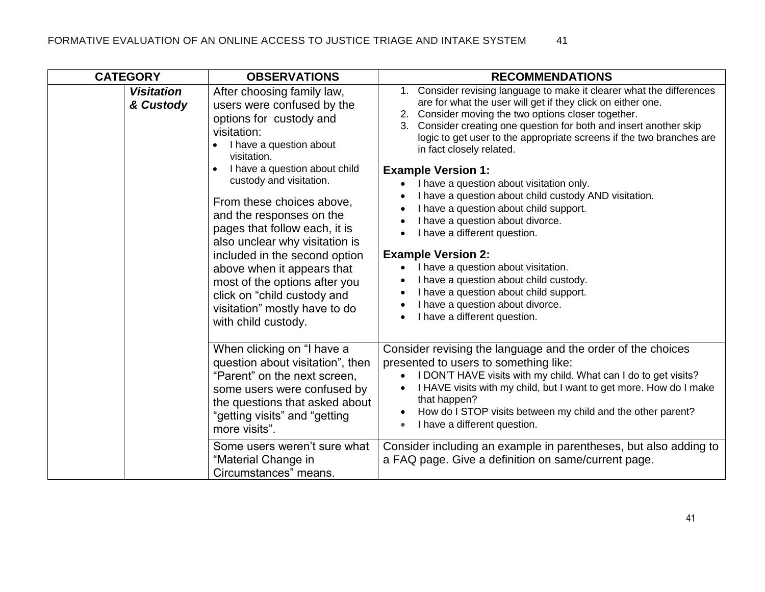| <b>CATEGORY</b>                | <b>OBSERVATIONS</b>                                                                                                                                                                                                                                                                                                                                                         | <b>RECOMMENDATIONS</b>                                                                                                                                                                                                                                                                                                                                                                                                                                                   |
|--------------------------------|-----------------------------------------------------------------------------------------------------------------------------------------------------------------------------------------------------------------------------------------------------------------------------------------------------------------------------------------------------------------------------|--------------------------------------------------------------------------------------------------------------------------------------------------------------------------------------------------------------------------------------------------------------------------------------------------------------------------------------------------------------------------------------------------------------------------------------------------------------------------|
| <b>Visitation</b><br>& Custody | After choosing family law,<br>users were confused by the<br>options for custody and<br>visitation:<br>I have a question about<br>visitation.                                                                                                                                                                                                                                | Consider revising language to make it clearer what the differences<br>$1_{-}$<br>are for what the user will get if they click on either one.<br>Consider moving the two options closer together.<br>Consider creating one question for both and insert another skip<br>3.<br>logic to get user to the appropriate screens if the two branches are<br>in fact closely related.                                                                                            |
|                                | I have a question about child<br>custody and visitation.<br>From these choices above,<br>and the responses on the<br>pages that follow each, it is<br>also unclear why visitation is<br>included in the second option<br>above when it appears that<br>most of the options after you<br>click on "child custody and<br>visitation" mostly have to do<br>with child custody. | <b>Example Version 1:</b><br>I have a question about visitation only.<br>I have a question about child custody AND visitation.<br>I have a question about child support.<br>I have a question about divorce.<br>I have a different question.<br><b>Example Version 2:</b><br>I have a question about visitation.<br>I have a question about child custody.<br>I have a question about child support.<br>I have a question about divorce.<br>I have a different question. |
|                                | When clicking on "I have a<br>question about visitation", then<br>"Parent" on the next screen,<br>some users were confused by<br>the questions that asked about<br>"getting visits" and "getting<br>more visits".                                                                                                                                                           | Consider revising the language and the order of the choices<br>presented to users to something like:<br>I DON'T HAVE visits with my child. What can I do to get visits?<br>I HAVE visits with my child, but I want to get more. How do I make<br>that happen?<br>How do I STOP visits between my child and the other parent?<br>I have a different question.<br>$\bullet$                                                                                                |
|                                | Some users weren't sure what<br>"Material Change in<br>Circumstances" means.                                                                                                                                                                                                                                                                                                | Consider including an example in parentheses, but also adding to<br>a FAQ page. Give a definition on same/current page.                                                                                                                                                                                                                                                                                                                                                  |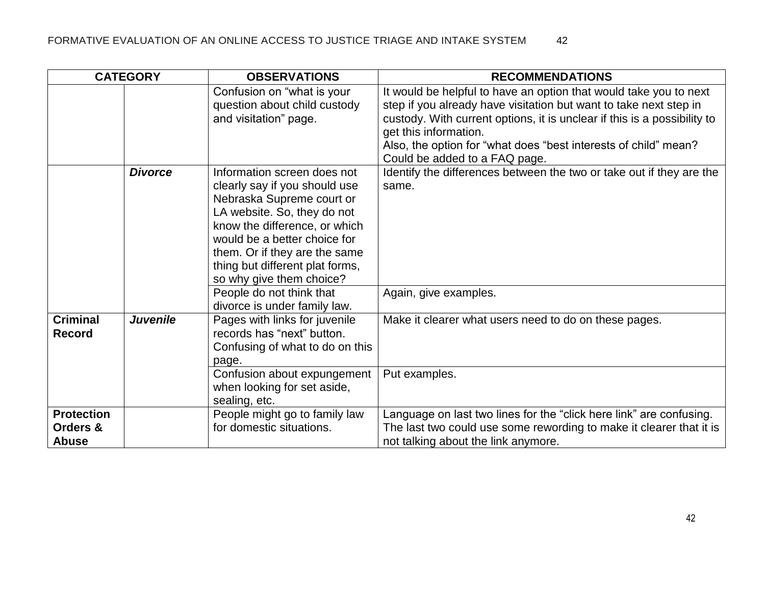|                                               | <b>CATEGORY</b> | <b>OBSERVATIONS</b>                                                                                                                                                                                                                                                                       | <b>RECOMMENDATIONS</b>                                                                                                                                                                                                                                                                                                                          |
|-----------------------------------------------|-----------------|-------------------------------------------------------------------------------------------------------------------------------------------------------------------------------------------------------------------------------------------------------------------------------------------|-------------------------------------------------------------------------------------------------------------------------------------------------------------------------------------------------------------------------------------------------------------------------------------------------------------------------------------------------|
|                                               |                 | Confusion on "what is your<br>question about child custody<br>and visitation" page.                                                                                                                                                                                                       | It would be helpful to have an option that would take you to next<br>step if you already have visitation but want to take next step in<br>custody. With current options, it is unclear if this is a possibility to<br>get this information.<br>Also, the option for "what does "best interests of child" mean?<br>Could be added to a FAQ page. |
|                                               | <b>Divorce</b>  | Information screen does not<br>clearly say if you should use<br>Nebraska Supreme court or<br>LA website. So, they do not<br>know the difference, or which<br>would be a better choice for<br>them. Or if they are the same<br>thing but different plat forms,<br>so why give them choice? | Identify the differences between the two or take out if they are the<br>same.                                                                                                                                                                                                                                                                   |
|                                               |                 | People do not think that<br>divorce is under family law.                                                                                                                                                                                                                                  | Again, give examples.                                                                                                                                                                                                                                                                                                                           |
| <b>Criminal</b><br><b>Record</b>              | <b>Juvenile</b> | Pages with links for juvenile<br>records has "next" button.<br>Confusing of what to do on this<br>page.                                                                                                                                                                                   | Make it clearer what users need to do on these pages.                                                                                                                                                                                                                                                                                           |
|                                               |                 | Confusion about expungement<br>when looking for set aside,<br>sealing, etc.                                                                                                                                                                                                               | Put examples.                                                                                                                                                                                                                                                                                                                                   |
| <b>Protection</b><br>Orders &<br><b>Abuse</b> |                 | People might go to family law<br>for domestic situations.                                                                                                                                                                                                                                 | Language on last two lines for the "click here link" are confusing.<br>The last two could use some rewording to make it clearer that it is<br>not talking about the link anymore.                                                                                                                                                               |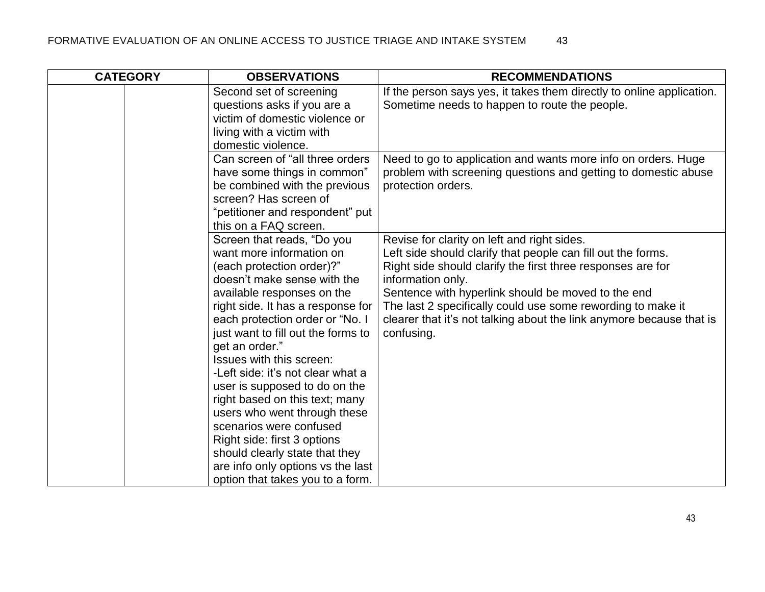| <b>CATEGORY</b> | <b>OBSERVATIONS</b>                                                                                                                                                                                                                                                                                                                                                                                                                                                                                                                                                                                                       | <b>RECOMMENDATIONS</b>                                                                                                                                                                                                                                                                                                                                                                                     |
|-----------------|---------------------------------------------------------------------------------------------------------------------------------------------------------------------------------------------------------------------------------------------------------------------------------------------------------------------------------------------------------------------------------------------------------------------------------------------------------------------------------------------------------------------------------------------------------------------------------------------------------------------------|------------------------------------------------------------------------------------------------------------------------------------------------------------------------------------------------------------------------------------------------------------------------------------------------------------------------------------------------------------------------------------------------------------|
|                 | Second set of screening<br>questions asks if you are a<br>victim of domestic violence or<br>living with a victim with<br>domestic violence.                                                                                                                                                                                                                                                                                                                                                                                                                                                                               | If the person says yes, it takes them directly to online application.<br>Sometime needs to happen to route the people.                                                                                                                                                                                                                                                                                     |
|                 | Can screen of "all three orders<br>have some things in common"<br>be combined with the previous<br>screen? Has screen of<br>"petitioner and respondent" put<br>this on a FAQ screen.                                                                                                                                                                                                                                                                                                                                                                                                                                      | Need to go to application and wants more info on orders. Huge<br>problem with screening questions and getting to domestic abuse<br>protection orders.                                                                                                                                                                                                                                                      |
|                 | Screen that reads, "Do you<br>want more information on<br>(each protection order)?"<br>doesn't make sense with the<br>available responses on the<br>right side. It has a response for<br>each protection order or "No. I<br>just want to fill out the forms to<br>get an order."<br>Issues with this screen:<br>-Left side: it's not clear what a<br>user is supposed to do on the<br>right based on this text; many<br>users who went through these<br>scenarios were confused<br>Right side: first 3 options<br>should clearly state that they<br>are info only options vs the last<br>option that takes you to a form. | Revise for clarity on left and right sides.<br>Left side should clarify that people can fill out the forms.<br>Right side should clarify the first three responses are for<br>information only.<br>Sentence with hyperlink should be moved to the end<br>The last 2 specifically could use some rewording to make it<br>clearer that it's not talking about the link anymore because that is<br>confusing. |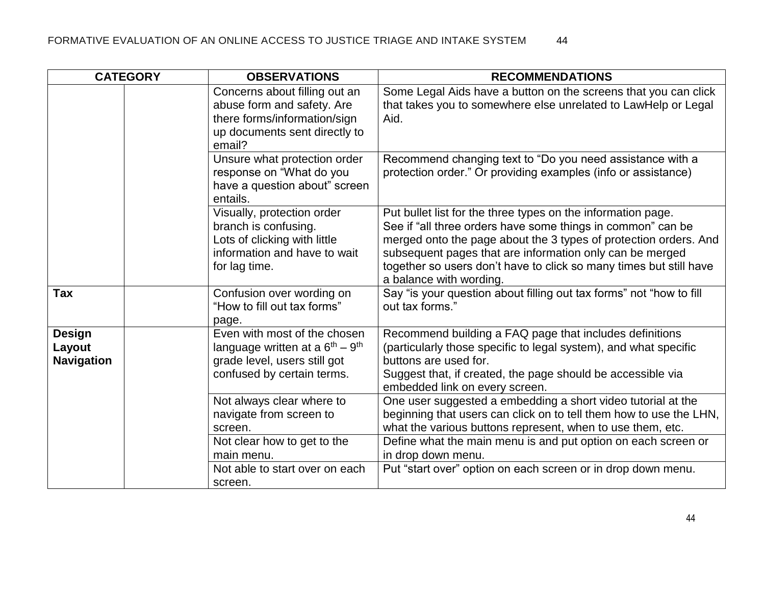| <b>CATEGORY</b>                              | <b>OBSERVATIONS</b>                                                                                                                                       | <b>RECOMMENDATIONS</b>                                                                                                                                                                                                                                                                                                                                       |
|----------------------------------------------|-----------------------------------------------------------------------------------------------------------------------------------------------------------|--------------------------------------------------------------------------------------------------------------------------------------------------------------------------------------------------------------------------------------------------------------------------------------------------------------------------------------------------------------|
|                                              | Concerns about filling out an<br>abuse form and safety. Are<br>there forms/information/sign<br>up documents sent directly to<br>email?                    | Some Legal Aids have a button on the screens that you can click<br>that takes you to somewhere else unrelated to LawHelp or Legal<br>Aid.                                                                                                                                                                                                                    |
|                                              | Unsure what protection order<br>response on "What do you<br>have a question about" screen<br>entails.                                                     | Recommend changing text to "Do you need assistance with a<br>protection order." Or providing examples (info or assistance)                                                                                                                                                                                                                                   |
|                                              | Visually, protection order<br>branch is confusing.<br>Lots of clicking with little<br>information and have to wait<br>for lag time.                       | Put bullet list for the three types on the information page.<br>See if "all three orders have some things in common" can be<br>merged onto the page about the 3 types of protection orders. And<br>subsequent pages that are information only can be merged<br>together so users don't have to click so many times but still have<br>a balance with wording. |
| <b>Tax</b>                                   | Confusion over wording on<br>"How to fill out tax forms"<br>page.                                                                                         | Say "is your question about filling out tax forms" not "how to fill<br>out tax forms."                                                                                                                                                                                                                                                                       |
| <b>Design</b><br>Layout<br><b>Navigation</b> | Even with most of the chosen<br>language written at a $6th - 9th$<br>grade level, users still got<br>confused by certain terms.                           | Recommend building a FAQ page that includes definitions<br>(particularly those specific to legal system), and what specific<br>buttons are used for.<br>Suggest that, if created, the page should be accessible via<br>embedded link on every screen.                                                                                                        |
|                                              | Not always clear where to<br>navigate from screen to<br>screen.<br>Not clear how to get to the<br>main menu.<br>Not able to start over on each<br>screen. | One user suggested a embedding a short video tutorial at the<br>beginning that users can click on to tell them how to use the LHN,<br>what the various buttons represent, when to use them, etc.<br>Define what the main menu is and put option on each screen or<br>in drop down menu.<br>Put "start over" option on each screen or in drop down menu.      |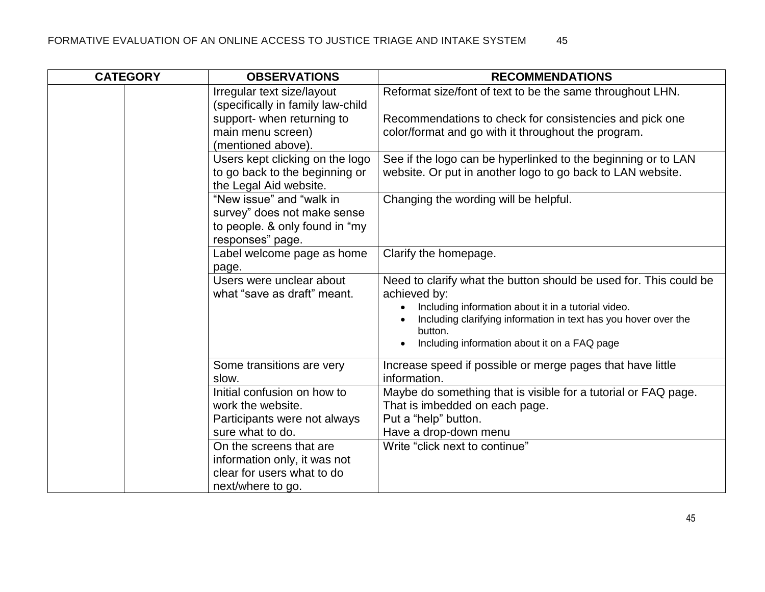| <b>CATEGORY</b> | <b>OBSERVATIONS</b>                                             | <b>RECOMMENDATIONS</b>                                                            |
|-----------------|-----------------------------------------------------------------|-----------------------------------------------------------------------------------|
|                 | Irregular text size/layout<br>(specifically in family law-child | Reformat size/font of text to be the same throughout LHN.                         |
|                 | support- when returning to                                      | Recommendations to check for consistencies and pick one                           |
|                 | main menu screen)                                               | color/format and go with it throughout the program.                               |
|                 | (mentioned above).                                              |                                                                                   |
|                 | Users kept clicking on the logo                                 | See if the logo can be hyperlinked to the beginning or to LAN                     |
|                 | to go back to the beginning or                                  | website. Or put in another logo to go back to LAN website.                        |
|                 | the Legal Aid website.                                          |                                                                                   |
|                 | "New issue" and "walk in                                        | Changing the wording will be helpful.                                             |
|                 | survey" does not make sense                                     |                                                                                   |
|                 | to people. & only found in "my                                  |                                                                                   |
|                 | responses" page.                                                |                                                                                   |
|                 | Label welcome page as home                                      | Clarify the homepage.                                                             |
|                 | page.                                                           |                                                                                   |
|                 | Users were unclear about<br>what "save as draft" meant.         | Need to clarify what the button should be used for. This could be<br>achieved by: |
|                 |                                                                 | Including information about it in a tutorial video.                               |
|                 |                                                                 | Including clarifying information in text has you hover over the<br>button.        |
|                 |                                                                 | Including information about it on a FAQ page                                      |
|                 | Some transitions are very<br>slow.                              | Increase speed if possible or merge pages that have little<br>information.        |
|                 | Initial confusion on how to                                     | Maybe do something that is visible for a tutorial or FAQ page.                    |
|                 | work the website.                                               | That is imbedded on each page.                                                    |
|                 | Participants were not always                                    | Put a "help" button.                                                              |
|                 | sure what to do.                                                | Have a drop-down menu                                                             |
|                 | On the screens that are                                         | Write "click next to continue"                                                    |
|                 | information only, it was not                                    |                                                                                   |
|                 | clear for users what to do                                      |                                                                                   |
|                 | next/where to go.                                               |                                                                                   |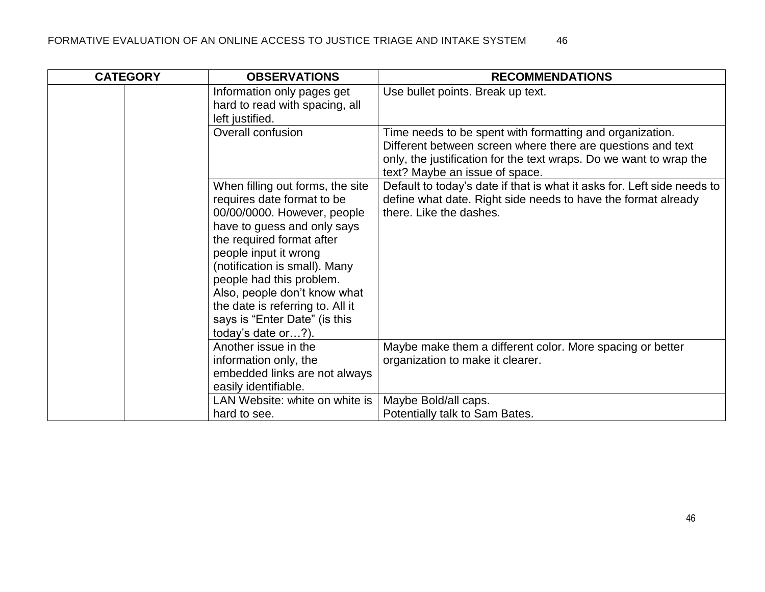| <b>CATEGORY</b> | <b>OBSERVATIONS</b>                                                                                                                                                                                                                                                                                                                                                        | <b>RECOMMENDATIONS</b>                                                                                                                                                                                                          |
|-----------------|----------------------------------------------------------------------------------------------------------------------------------------------------------------------------------------------------------------------------------------------------------------------------------------------------------------------------------------------------------------------------|---------------------------------------------------------------------------------------------------------------------------------------------------------------------------------------------------------------------------------|
|                 | Information only pages get<br>hard to read with spacing, all<br>left justified.                                                                                                                                                                                                                                                                                            | Use bullet points. Break up text.                                                                                                                                                                                               |
|                 | Overall confusion                                                                                                                                                                                                                                                                                                                                                          | Time needs to be spent with formatting and organization.<br>Different between screen where there are questions and text<br>only, the justification for the text wraps. Do we want to wrap the<br>text? Maybe an issue of space. |
|                 | When filling out forms, the site<br>requires date format to be<br>00/00/0000. However, people<br>have to guess and only says<br>the required format after<br>people input it wrong<br>(notification is small). Many<br>people had this problem.<br>Also, people don't know what<br>the date is referring to. All it<br>says is "Enter Date" (is this<br>today's date or?). | Default to today's date if that is what it asks for. Left side needs to<br>define what date. Right side needs to have the format already<br>there. Like the dashes.                                                             |
|                 | Another issue in the<br>information only, the<br>embedded links are not always<br>easily identifiable.                                                                                                                                                                                                                                                                     | Maybe make them a different color. More spacing or better<br>organization to make it clearer.                                                                                                                                   |
|                 | LAN Website: white on white is<br>hard to see.                                                                                                                                                                                                                                                                                                                             | Maybe Bold/all caps.<br>Potentially talk to Sam Bates.                                                                                                                                                                          |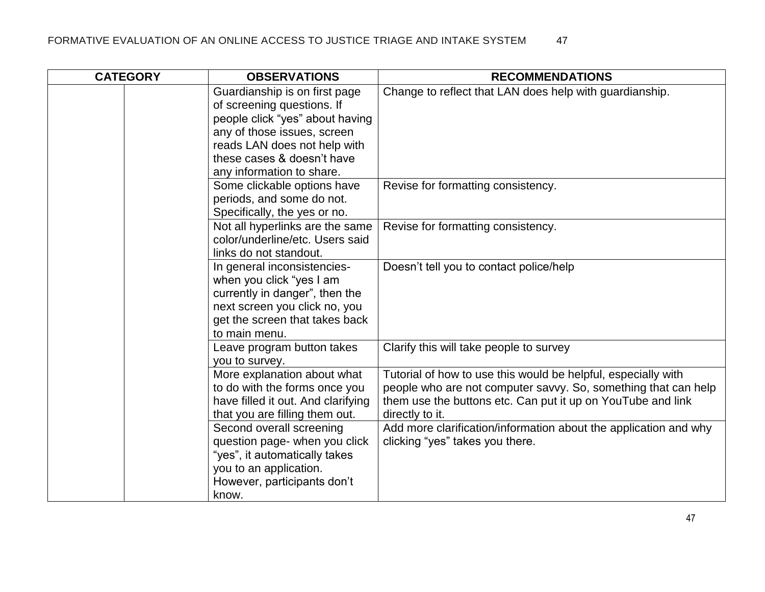| <b>CATEGORY</b> | <b>OBSERVATIONS</b>                                                                                                                                                           | <b>RECOMMENDATIONS</b>                                                                                                                                                                                            |
|-----------------|-------------------------------------------------------------------------------------------------------------------------------------------------------------------------------|-------------------------------------------------------------------------------------------------------------------------------------------------------------------------------------------------------------------|
|                 | Guardianship is on first page<br>of screening questions. If<br>people click "yes" about having<br>any of those issues, screen                                                 | Change to reflect that LAN does help with guardianship.                                                                                                                                                           |
|                 | reads LAN does not help with<br>these cases & doesn't have<br>any information to share.                                                                                       |                                                                                                                                                                                                                   |
|                 | Some clickable options have<br>periods, and some do not.<br>Specifically, the yes or no.                                                                                      | Revise for formatting consistency.                                                                                                                                                                                |
|                 | Not all hyperlinks are the same<br>color/underline/etc. Users said<br>links do not standout.                                                                                  | Revise for formatting consistency.                                                                                                                                                                                |
|                 | In general inconsistencies-<br>when you click "yes I am<br>currently in danger", then the<br>next screen you click no, you<br>get the screen that takes back<br>to main menu. | Doesn't tell you to contact police/help                                                                                                                                                                           |
|                 | Leave program button takes<br>you to survey.                                                                                                                                  | Clarify this will take people to survey                                                                                                                                                                           |
|                 | More explanation about what<br>to do with the forms once you<br>have filled it out. And clarifying<br>that you are filling them out.                                          | Tutorial of how to use this would be helpful, especially with<br>people who are not computer savvy. So, something that can help<br>them use the buttons etc. Can put it up on YouTube and link<br>directly to it. |
|                 | Second overall screening<br>question page- when you click<br>"yes", it automatically takes<br>you to an application.<br>However, participants don't<br>know.                  | Add more clarification/information about the application and why<br>clicking "yes" takes you there.                                                                                                               |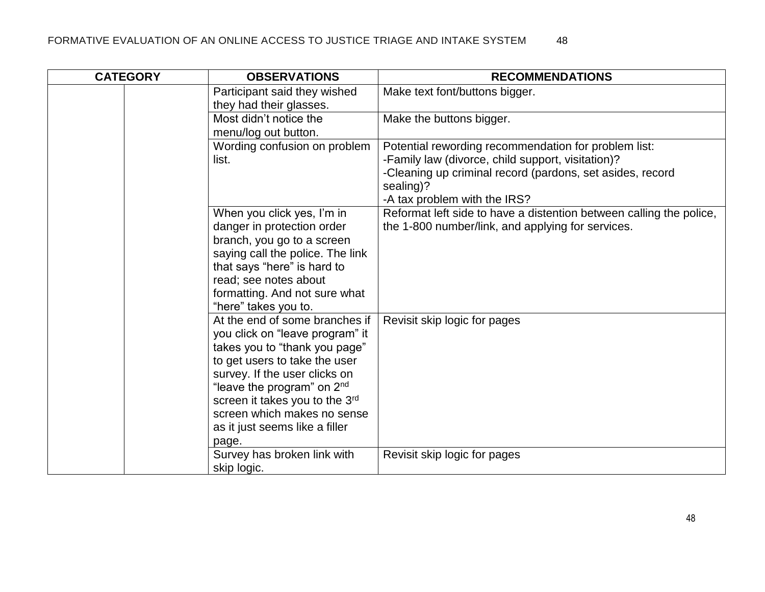| <b>CATEGORY</b> | <b>OBSERVATIONS</b>                                                                                                                                                                                                                                                                                                        | <b>RECOMMENDATIONS</b>                                                                                                                                                                                              |
|-----------------|----------------------------------------------------------------------------------------------------------------------------------------------------------------------------------------------------------------------------------------------------------------------------------------------------------------------------|---------------------------------------------------------------------------------------------------------------------------------------------------------------------------------------------------------------------|
|                 | Participant said they wished<br>they had their glasses.                                                                                                                                                                                                                                                                    | Make text font/buttons bigger.                                                                                                                                                                                      |
|                 | Most didn't notice the<br>menu/log out button.                                                                                                                                                                                                                                                                             | Make the buttons bigger.                                                                                                                                                                                            |
|                 | Wording confusion on problem<br>list.                                                                                                                                                                                                                                                                                      | Potential rewording recommendation for problem list:<br>-Family law (divorce, child support, visitation)?<br>-Cleaning up criminal record (pardons, set asides, record<br>sealing)?<br>-A tax problem with the IRS? |
|                 | When you click yes, I'm in<br>danger in protection order<br>branch, you go to a screen<br>saying call the police. The link<br>that says "here" is hard to<br>read; see notes about                                                                                                                                         | Reformat left side to have a distention between calling the police,<br>the 1-800 number/link, and applying for services.                                                                                            |
|                 | formatting. And not sure what<br>"here" takes you to.                                                                                                                                                                                                                                                                      |                                                                                                                                                                                                                     |
|                 | At the end of some branches if<br>you click on "leave program" it<br>takes you to "thank you page"<br>to get users to take the user<br>survey. If the user clicks on<br>"leave the program" on 2 <sup>nd</sup><br>screen it takes you to the 3rd<br>screen which makes no sense<br>as it just seems like a filler<br>page. | Revisit skip logic for pages                                                                                                                                                                                        |
|                 | Survey has broken link with<br>skip logic.                                                                                                                                                                                                                                                                                 | Revisit skip logic for pages                                                                                                                                                                                        |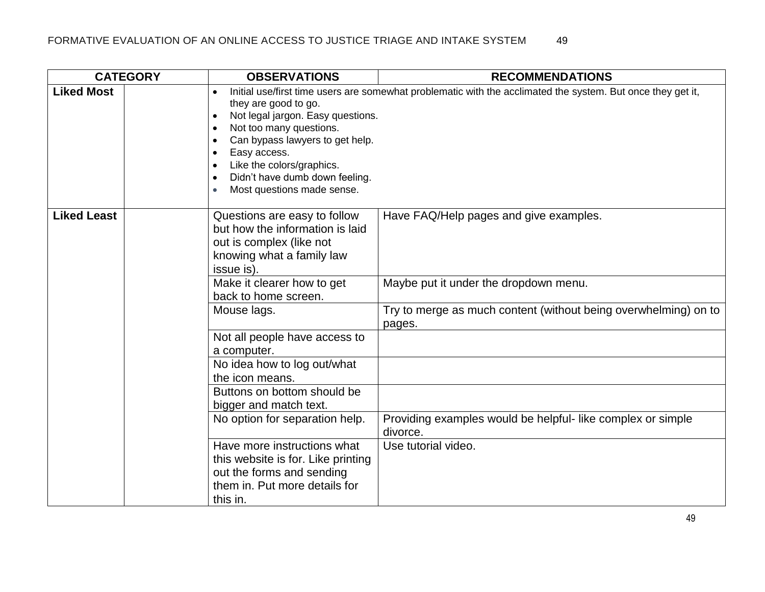| <b>CATEGORY</b>    | <b>OBSERVATIONS</b>                                                                                                                                                                                                                                                                                                             | <b>RECOMMENDATIONS</b>                                                                                                                             |
|--------------------|---------------------------------------------------------------------------------------------------------------------------------------------------------------------------------------------------------------------------------------------------------------------------------------------------------------------------------|----------------------------------------------------------------------------------------------------------------------------------------------------|
| <b>Liked Most</b>  | they are good to go.<br>Not legal jargon. Easy questions.<br>$\bullet$<br>Not too many questions.<br>$\bullet$<br>Can bypass lawyers to get help.<br>$\bullet$<br>Easy access.<br>$\bullet$<br>Like the colors/graphics.<br>$\bullet$<br>Didn't have dumb down feeling.<br>$\bullet$<br>Most questions made sense.<br>$\bullet$ | Initial use/first time users are somewhat problematic with the acclimated the system. But once they get it,                                        |
| <b>Liked Least</b> | Questions are easy to follow<br>but how the information is laid<br>out is complex (like not<br>knowing what a family law<br>issue is).<br>Make it clearer how to get<br>back to home screen.<br>Mouse lags.                                                                                                                     | Have FAQ/Help pages and give examples.<br>Maybe put it under the dropdown menu.<br>Try to merge as much content (without being overwhelming) on to |
|                    | Not all people have access to<br>a computer.<br>No idea how to log out/what<br>the icon means.<br>Buttons on bottom should be<br>bigger and match text.<br>No option for separation help.                                                                                                                                       | pages.<br>Providing examples would be helpful-like complex or simple<br>divorce.                                                                   |
|                    | Have more instructions what<br>this website is for. Like printing<br>out the forms and sending<br>them in. Put more details for<br>this in.                                                                                                                                                                                     | Use tutorial video.                                                                                                                                |